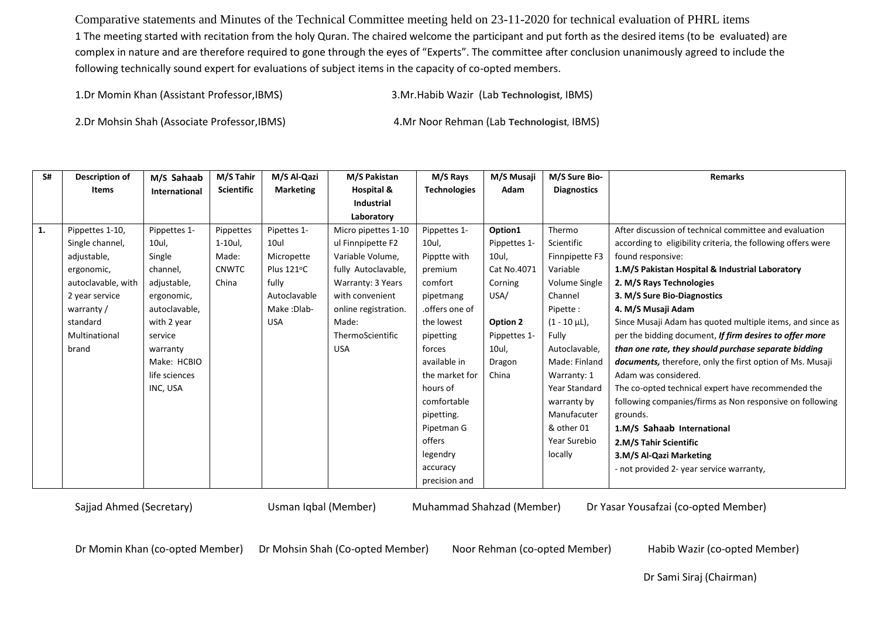Comparative statements and Minutes of the Technical Committee meeting held on 23-11-2020 for technical evaluation of PHRL items 1 The meeting started with recitation from the holy Quran. The chaired welcome the participant and put forth as the desired items (to be evaluated) are complex in nature and are therefore required to gone through the eyes of "Experts". The committee after conclusion unanimously agreed to include the following technically sound expert for evaluations of subject items in the capacity of co-opted members.

1.Dr Momin Khan (Assistant Professor,IBMS) 3.Mr.Habib Wazir (Lab **Technologist**, IBMS)

2.Dr Mohsin Shah (Associate Professor,IBMS) 4.Mr Noor Rehman (Lab **Technologist**, IBMS)

| S# | Description of     | M/S Sahaab    | M/S Tahir         | M/S Al-Qazi      | M/S Pakistan         | M/S Rays            | M/S Musaji   | M/S Sure Bio-      | <b>Remarks</b>                                                   |
|----|--------------------|---------------|-------------------|------------------|----------------------|---------------------|--------------|--------------------|------------------------------------------------------------------|
|    | <b>Items</b>       | International | <b>Scientific</b> | <b>Marketing</b> | Hospital &           | <b>Technologies</b> | Adam         | <b>Diagnostics</b> |                                                                  |
|    |                    |               |                   |                  | <b>Industrial</b>    |                     |              |                    |                                                                  |
|    |                    |               |                   |                  | Laboratory           |                     |              |                    |                                                                  |
| 1. | Pippettes 1-10,    | Pippettes 1-  | Pippettes         | Pipettes 1-      | Micro pipettes 1-10  | Pippettes 1-        | Option1      | Thermo             | After discussion of technical committee and evaluation           |
|    | Single channel,    | 10ul,         | $1-10$ ul,        | 10ul             | ul Finnpipette F2    | 10ul,               | Pippettes 1- | Scientific         | according to eligibility criteria, the following offers were     |
|    | adjustable,        | Single        | Made:             | Micropette       | Variable Volume,     | Pipptte with        | 10ul,        | Finnpipette F3     | found responsive:                                                |
|    | ergonomic,         | channel,      | <b>CNWTC</b>      | Plus 121°C       | fully Autoclavable,  | premium             | Cat No.4071  | Variable           | 1.M/S Pakistan Hospital & Industrial Laboratory                  |
|    | autoclavable, with | adjustable,   | China             | fully            | Warranty: 3 Years    | comfort             | Corning      | Volume Single      | 2. M/S Rays Technologies                                         |
|    | 2 year service     | ergonomic,    |                   | Autoclavable     | with convenient      | pipetmang           | USA/         | Channel            | 3. M/S Sure Bio-Diagnostics                                      |
|    | warranty/          | autoclavable, |                   | Make: Dlab-      | online registration. | .offers one of      |              | Pipette:           | 4. M/S Musaji Adam                                               |
|    | standard           | with 2 year   |                   | <b>USA</b>       | Made:                | the lowest          | Option 2     | $(1 - 10 \mu L)$ , | Since Musaji Adam has quoted multiple items, and since as        |
|    | Multinational      | service       |                   |                  | ThermoScientific     | pipetting           | Pippettes 1- | Fully              | per the bidding document, If firm desires to offer more          |
|    | brand              | warranty      |                   |                  | <b>USA</b>           | forces              | 10ul,        | Autoclavable,      | than one rate, they should purchase separate bidding             |
|    |                    | Make: HCBIO   |                   |                  |                      | available in        | Dragon       | Made: Finland      | <b>documents,</b> therefore, only the first option of Ms. Musaji |
|    |                    | life sciences |                   |                  |                      | the market for      | China        | Warranty: 1        | Adam was considered.                                             |
|    |                    | INC, USA      |                   |                  |                      | hours of            |              | Year Standard      | The co-opted technical expert have recommended the               |
|    |                    |               |                   |                  |                      | comfortable         |              | warranty by        | following companies/firms as Non responsive on following         |
|    |                    |               |                   |                  |                      | pipetting.          |              | Manufacuter        | grounds.                                                         |
|    |                    |               |                   |                  |                      | Pipetman G          |              | & other 01         | 1.M/S Sahaab International                                       |
|    |                    |               |                   |                  |                      | offers              |              | Year Surebio       | 2.M/S Tahir Scientific                                           |
|    |                    |               |                   |                  |                      | legendry            |              | locally            | 3.M/S Al-Qazi Marketing                                          |
|    |                    |               |                   |                  |                      | accuracy            |              |                    | - not provided 2- year service warranty,                         |
|    |                    |               |                   |                  |                      | precision and       |              |                    |                                                                  |

Sajjad Ahmed (Secretary) Usman Iqbal (Member) Muhammad Shahzad (Member) Dr Yasar Yousafzai (co-opted Member)

Dr Momin Khan (co-opted Member) Dr Mohsin Shah (Co-opted Member) Noor Rehman (co-opted Member) Habib Wazir (co-opted Member)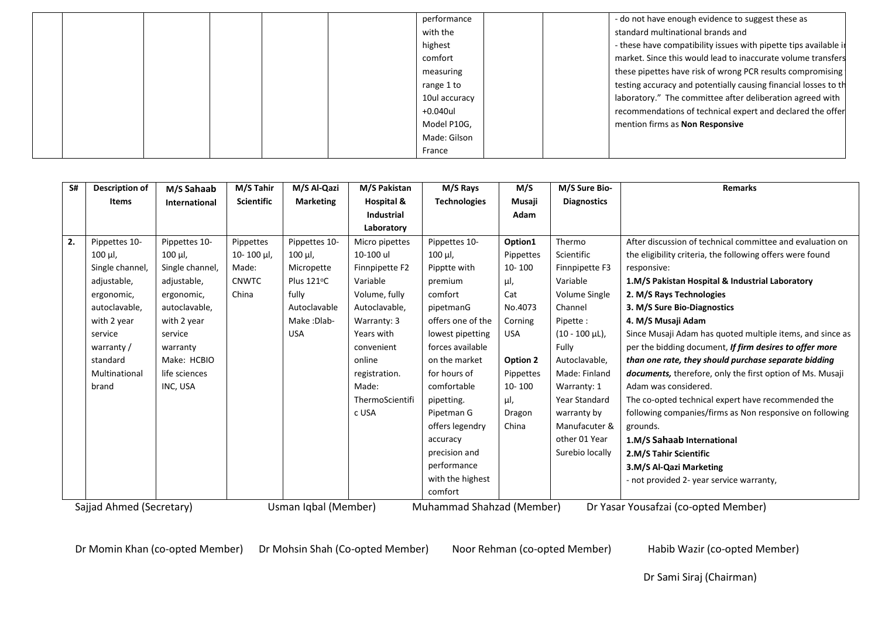|  |  |  | performance   |  | - do not have enough evidence to suggest these as                |
|--|--|--|---------------|--|------------------------------------------------------------------|
|  |  |  | with the      |  | standard multinational brands and                                |
|  |  |  | highest       |  | - these have compatibility issues with pipette tips available in |
|  |  |  | comfort       |  | market. Since this would lead to inaccurate volume transfers     |
|  |  |  | measuring     |  | these pipettes have risk of wrong PCR results compromising       |
|  |  |  | range 1 to    |  | testing accuracy and potentially causing financial losses to the |
|  |  |  | 10ul accuracy |  | laboratory." The committee after deliberation agreed with        |
|  |  |  | +0.040ul      |  | recommendations of technical expert and declared the offer       |
|  |  |  | Model P10G,   |  | mention firms as Non Responsive                                  |
|  |  |  | Made: Gilson  |  |                                                                  |
|  |  |  | France        |  |                                                                  |

| S#      | Description of           | M/S Sahaab           | M/S Tahir         | M/S Al-Qazi          | M/S Pakistan      | M/S Rays                  | M/S        | M/S Sure Bio-        | <b>Remarks</b>                                                   |
|---------|--------------------------|----------------------|-------------------|----------------------|-------------------|---------------------------|------------|----------------------|------------------------------------------------------------------|
|         | <b>Items</b>             | <b>International</b> | <b>Scientific</b> | <b>Marketing</b>     | Hospital &        | <b>Technologies</b>       | Musaji     | <b>Diagnostics</b>   |                                                                  |
|         |                          |                      |                   |                      | <b>Industrial</b> |                           | Adam       |                      |                                                                  |
|         |                          |                      |                   |                      | Laboratory        |                           |            |                      |                                                                  |
| 2.      | Pippettes 10-            | Pippettes 10-        | Pippettes         | Pippettes 10-        | Micro pipettes    | Pippettes 10-             | Option1    | Thermo               | After discussion of technical committee and evaluation on        |
|         | $100 \mu l$ ,            | 100 µl,              | 10-100 µl,        | $100$ $\mu$ .        | 10-100 ul         | 100 µl,                   | Pippettes  | Scientific           | the eligibility criteria, the following offers were found        |
|         | Single channel,          | Single channel,      | Made:             | Micropette           | Finnpipette F2    | Pipptte with              | 10-100     | Finnpipette F3       | responsive:                                                      |
|         | adjustable,              | adjustable,          | <b>CNWTC</b>      | Plus 121°C           | Variable          | premium                   | μl,        | Variable             | 1.M/S Pakistan Hospital & Industrial Laboratory                  |
|         | ergonomic,               | ergonomic,           | China             | fully                | Volume, fully     | comfort                   | Cat        | Volume Single        | 2. M/S Rays Technologies                                         |
|         | autoclavable,            | autoclavable,        |                   | Autoclavable         | Autoclavable,     | pipetmanG                 | No.4073    | Channel              | 3. M/S Sure Bio-Diagnostics                                      |
|         | with 2 year              | with 2 year          |                   | Make: Dlab-          | Warranty: 3       | offers one of the         | Corning    | Pipette:             | 4. M/S Musaji Adam                                               |
|         | service                  | service              |                   | <b>USA</b>           | Years with        | lowest pipetting          | <b>USA</b> | $(10 - 100 \mu L)$ , | Since Musaji Adam has quoted multiple items, and since as        |
|         | warranty /               | warranty             |                   |                      | convenient        | forces available          |            | Fully                | per the bidding document, If firm desires to offer more          |
|         | standard                 | Make: HCBIO          |                   |                      | online            | on the market             | Option 2   | Autoclavable,        | than one rate, they should purchase separate bidding             |
|         | Multinational            | life sciences        |                   |                      | registration.     | for hours of              | Pippettes  | Made: Finland        | <b>documents,</b> therefore, only the first option of Ms. Musaji |
|         | brand                    | INC, USA             |                   |                      | Made:             | comfortable               | 10-100     | Warranty: 1          | Adam was considered.                                             |
|         |                          |                      |                   |                      | ThermoScientifi   | pipetting.                | μl,        | <b>Year Standard</b> | The co-opted technical expert have recommended the               |
|         |                          |                      |                   |                      | c USA             | Pipetman G                | Dragon     | warranty by          | following companies/firms as Non responsive on following         |
|         |                          |                      |                   |                      |                   | offers legendry           | China      | Manufacuter &        | grounds.                                                         |
|         |                          |                      |                   |                      |                   | accuracy                  |            | other 01 Year        | 1.M/S Sahaab International                                       |
|         |                          |                      |                   |                      |                   | precision and             |            | Surebio locally      | 2.M/S Tahir Scientific                                           |
|         |                          |                      |                   |                      |                   | performance               |            |                      | 3.M/S Al-Qazi Marketing                                          |
|         |                          |                      |                   |                      |                   | with the highest          |            |                      | - not provided 2- year service warranty,                         |
| comfort |                          |                      |                   |                      |                   |                           |            |                      |                                                                  |
|         | Sajjad Ahmed (Secretary) |                      |                   | Usman Iqbal (Member) |                   | Muhammad Shahzad (Member) |            |                      | Dr Yasar Yousafzai (co-opted Member)                             |

Dr Momin Khan (co-opted Member) Dr Mohsin Shah (Co-opted Member) Noor Rehman (co-opted Member) Habib Wazir (co-opted Member)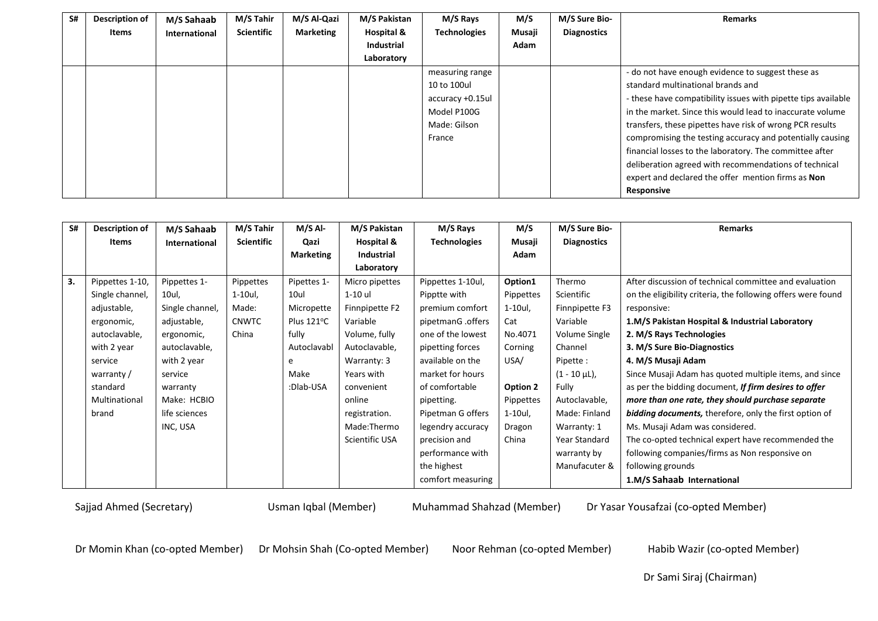| S# | Description of | M/S Sahaab    | M/S Tahir         | M/S Al-Qazi      | M/S Pakistan      | M/S Rays            | M/S    | M/S Sure Bio-      | <b>Remarks</b>                                                |
|----|----------------|---------------|-------------------|------------------|-------------------|---------------------|--------|--------------------|---------------------------------------------------------------|
|    | Items          | International | <b>Scientific</b> | <b>Marketing</b> | Hospital &        | <b>Technologies</b> | Musaji | <b>Diagnostics</b> |                                                               |
|    |                |               |                   |                  | <b>Industrial</b> |                     | Adam   |                    |                                                               |
|    |                |               |                   |                  | Laboratory        |                     |        |                    |                                                               |
|    |                |               |                   |                  |                   | measuring range     |        |                    | - do not have enough evidence to suggest these as             |
|    |                |               |                   |                  |                   | 10 to 100ul         |        |                    | standard multinational brands and                             |
|    |                |               |                   |                  |                   | accuracy +0.15ul    |        |                    | - these have compatibility issues with pipette tips available |
|    |                |               |                   |                  |                   | Model P100G         |        |                    | in the market. Since this would lead to inaccurate volume     |
|    |                |               |                   |                  |                   | Made: Gilson        |        |                    | transfers, these pipettes have risk of wrong PCR results      |
|    |                |               |                   |                  |                   | France              |        |                    | compromising the testing accuracy and potentially causing     |
|    |                |               |                   |                  |                   |                     |        |                    | financial losses to the laboratory. The committee after       |
|    |                |               |                   |                  |                   |                     |        |                    | deliberation agreed with recommendations of technical         |
|    |                |               |                   |                  |                   |                     |        |                    | expert and declared the offer mention firms as Non            |
|    |                |               |                   |                  |                   |                     |        |                    | Responsive                                                    |

| S# | <b>Description of</b> | M/S Sahaab           | M/S Tahir         | $M/S$ Al-        | M/S Pakistan   | M/S Rays            | M/S       | M/S Sure Bio-      | <b>Remarks</b>                                                |
|----|-----------------------|----------------------|-------------------|------------------|----------------|---------------------|-----------|--------------------|---------------------------------------------------------------|
|    | Items                 | <b>International</b> | <b>Scientific</b> | Qazi             | Hospital &     | <b>Technologies</b> | Musaji    | <b>Diagnostics</b> |                                                               |
|    |                       |                      |                   | <b>Marketing</b> | Industrial     |                     | Adam      |                    |                                                               |
|    |                       |                      |                   |                  | Laboratory     |                     |           |                    |                                                               |
| 3. | Pippettes 1-10,       | Pippettes 1-         | Pippettes         | Pipettes 1-      | Micro pipettes | Pippettes 1-10ul,   | Option1   | Thermo             | After discussion of technical committee and evaluation        |
|    | Single channel,       | 10ul,                | 1-10ul,           | 10ul             | 1-10 ul        | Pipptte with        | Pippettes | Scientific         | on the eligibility criteria, the following offers were found  |
|    | adjustable,           | Single channel,      | Made:             | Micropette       | Finnpipette F2 | premium comfort     | 1-10ul,   | Finnpipette F3     | responsive:                                                   |
|    | ergonomic,            | adjustable,          | <b>CNWTC</b>      | Plus 121°C       | Variable       | pipetmanG .offers   | Cat       | Variable           | 1.M/S Pakistan Hospital & Industrial Laboratory               |
|    | autoclavable,         | ergonomic,           | China             | fully            | Volume, fully  | one of the lowest   | No.4071   | Volume Single      | 2. M/S Rays Technologies                                      |
|    | with 2 year           | autoclavable,        |                   | Autoclavabl      | Autoclavable,  | pipetting forces    | Corning   | Channel            | 3. M/S Sure Bio-Diagnostics                                   |
|    | service               | with 2 year          |                   | e                | Warranty: 3    | available on the    | USA/      | Pipette :          | 4. M/S Musaji Adam                                            |
|    | warranty /            | service              |                   | Make             | Years with     | market for hours    |           | $(1 - 10 \mu L)$ , | Since Musaji Adam has quoted multiple items, and since        |
|    | standard              | warranty             |                   | :Dlab-USA        | convenient     | of comfortable      | Option 2  | Fully              | as per the bidding document, If firm desires to offer         |
|    | Multinational         | Make: HCBIO          |                   |                  | online         | pipetting.          | Pippettes | Autoclavable,      | more than one rate, they should purchase separate             |
|    | brand                 | life sciences        |                   |                  | registration.  | Pipetman G offers   | 1-10ul,   | Made: Finland      | <b>bidding documents,</b> therefore, only the first option of |
|    |                       | INC, USA             |                   |                  | Made:Thermo    | legendry accuracy   | Dragon    | Warranty: 1        | Ms. Musaji Adam was considered.                               |
|    |                       |                      |                   |                  | Scientific USA | precision and       | China     | Year Standard      | The co-opted technical expert have recommended the            |
|    |                       |                      |                   |                  |                | performance with    |           | warranty by        | following companies/firms as Non responsive on                |
|    |                       |                      |                   |                  |                | the highest         |           | Manufacuter &      | following grounds                                             |
|    |                       |                      |                   |                  |                | comfort measuring   |           |                    | 1.M/S Sahaab International                                    |

Dr Momin Khan (co-opted Member) Dr Mohsin Shah (Co-opted Member) Noor Rehman (co-opted Member) Habib Wazir (co-opted Member)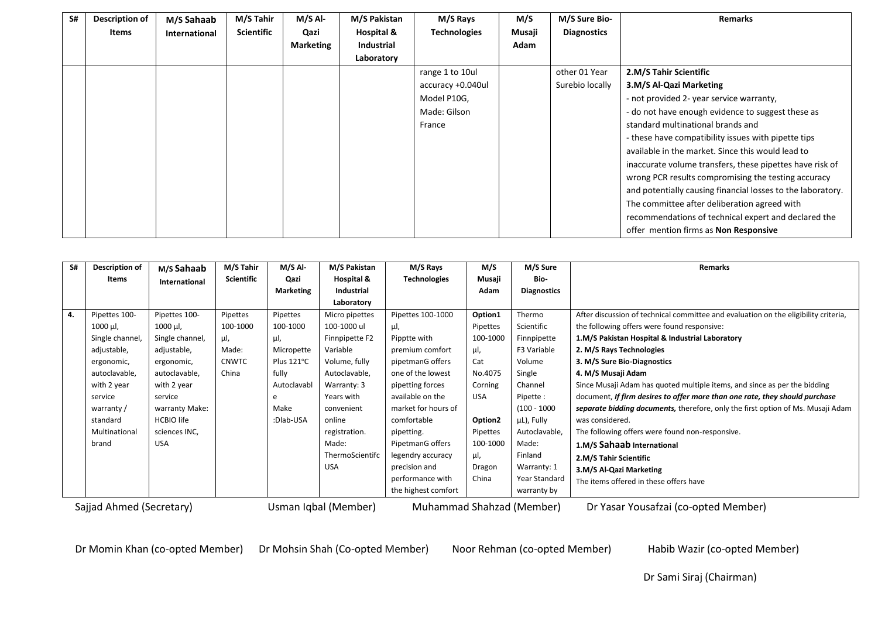| S# | <b>Description of</b> | M/S Sahaab           | M/S Tahir         | M/S Al-          | M/S Pakistan | M/S Rays            | M/S    | M/S Sure Bio-      | <b>Remarks</b>                                              |
|----|-----------------------|----------------------|-------------------|------------------|--------------|---------------------|--------|--------------------|-------------------------------------------------------------|
|    | Items                 | <b>International</b> | <b>Scientific</b> | Qazi             | Hospital &   | <b>Technologies</b> | Musaji | <b>Diagnostics</b> |                                                             |
|    |                       |                      |                   | <b>Marketing</b> | Industrial   |                     | Adam   |                    |                                                             |
|    |                       |                      |                   |                  | Laboratory   |                     |        |                    |                                                             |
|    |                       |                      |                   |                  |              | range 1 to 10ul     |        | other 01 Year      | 2.M/S Tahir Scientific                                      |
|    |                       |                      |                   |                  |              | accuracy +0.040ul   |        | Surebio locally    | 3.M/S Al-Qazi Marketing                                     |
|    |                       |                      |                   |                  |              | Model P10G,         |        |                    | - not provided 2- year service warranty,                    |
|    |                       |                      |                   |                  |              | Made: Gilson        |        |                    | - do not have enough evidence to suggest these as           |
|    |                       |                      |                   |                  |              | France              |        |                    | standard multinational brands and                           |
|    |                       |                      |                   |                  |              |                     |        |                    | - these have compatibility issues with pipette tips         |
|    |                       |                      |                   |                  |              |                     |        |                    | available in the market. Since this would lead to           |
|    |                       |                      |                   |                  |              |                     |        |                    | inaccurate volume transfers, these pipettes have risk of    |
|    |                       |                      |                   |                  |              |                     |        |                    | wrong PCR results compromising the testing accuracy         |
|    |                       |                      |                   |                  |              |                     |        |                    | and potentially causing financial losses to the laboratory. |
|    |                       |                      |                   |                  |              |                     |        |                    | The committee after deliberation agreed with                |
|    |                       |                      |                   |                  |              |                     |        |                    | recommendations of technical expert and declared the        |
|    |                       |                      |                   |                  |              |                     |        |                    | offer mention firms as Non Responsive                       |

| S# | Description of                                   | M/s Sahaab          | M/S Tahir         | $M/S$ Al-            | M/S Pakistan                           | M/S Rays                  | M/S                 | M/S Sure           | Remarks                                                                             |
|----|--------------------------------------------------|---------------------|-------------------|----------------------|----------------------------------------|---------------------------|---------------------|--------------------|-------------------------------------------------------------------------------------|
|    | Items                                            | International       | <b>Scientific</b> | Qazi                 | Hospital &                             | <b>Technologies</b>       | Musaji              | Bio-               |                                                                                     |
|    |                                                  |                     |                   | <b>Marketing</b>     | Industrial                             |                           | Adam                | <b>Diagnostics</b> |                                                                                     |
|    |                                                  |                     |                   |                      | Laboratory                             |                           |                     |                    |                                                                                     |
| 4. | Pipettes 100-                                    | Pipettes 100-       | Pipettes          | Pipettes             | Micro pipettes                         | Pipettes 100-1000         | Option1             | Thermo             | After discussion of technical committee and evaluation on the eligibility criteria, |
|    | $1000 \mu l$ ,                                   | $1000 \mu l$ ,      | 100-1000          | 100-1000             | 100-1000 ul                            | μl,                       | Pipettes            | Scientific         | the following offers were found responsive:                                         |
|    | Single channel,                                  | Single channel,     | μΙ,               | μl,                  | Finnpipette F2                         | Pipptte with              | 100-1000            | Finnpipette        | 1.M/S Pakistan Hospital & Industrial Laboratory                                     |
|    | adjustable,                                      | adjustable,         | Made:             | Micropette           | Variable                               | premium comfort           | μl,                 | F3 Variable        | 2. M/S Rays Technologies                                                            |
|    | ergonomic,                                       | ergonomic,          | <b>CNWTC</b>      | Plus $121^{\circ}$ C | Volume, fully                          | pipetmanG offers          | Cat                 | Volume             | 3. M/S Sure Bio-Diagnostics                                                         |
|    | autoclavable,                                    | autoclavable,       | China             | fully                | Autoclavable,                          | one of the lowest         | No.4075             | Single             | 4. M/S Musaji Adam                                                                  |
|    | with 2 year                                      | with 2 year         |                   | Autoclavabl          | Warranty: 3                            | pipetting forces          | Corning             | Channel            | Since Musaji Adam has quoted multiple items, and since as per the bidding           |
|    | service                                          | service             |                   | e                    | Years with                             | available on the          | <b>USA</b>          | Pipette:           | document, If firm desires to offer more than one rate, they should purchase         |
|    | warranty /                                       | warranty Make:      |                   | Make                 | convenient                             | market for hours of       |                     | $(100 - 1000$      | separate bidding documents, therefore, only the first option of Ms. Musaji Adam     |
|    | standard                                         | <b>HCBIO</b> life   |                   | :Dlab-USA            | online                                 | comfortable               | Option <sub>2</sub> | µL), Fully         | was considered.                                                                     |
|    | Multinational                                    | sciences INC,       |                   |                      | registration.                          | pipetting.                | Pipettes            | Autoclavable,      | The following offers were found non-responsive.                                     |
|    | brand                                            | <b>USA</b>          |                   |                      | Made:                                  | PipetmanG offers          | 100-1000            | Made:              | 1.M/S Sahaab International                                                          |
|    |                                                  |                     |                   |                      | ThermoScientifc                        | legendry accuracy         | μl,                 | Finland            | 2.M/S Tahir Scientific                                                              |
|    |                                                  |                     |                   |                      | <b>USA</b>                             | precision and             | Dragon              | Warranty: 1        | 3.M/S Al-Qazi Marketing                                                             |
|    | performance with<br>China                        |                     |                   | Year Standard        | The items offered in these offers have |                           |                     |                    |                                                                                     |
|    |                                                  | the highest comfort |                   |                      |                                        | warranty by               |                     |                    |                                                                                     |
|    | Sajjad Ahmed (Secretary)<br>Usman Iqbal (Member) |                     |                   |                      |                                        | Muhammad Shahzad (Member) |                     |                    | Dr Yasar Yousafzai (co-opted Member)                                                |

Dr Momin Khan (co-opted Member) Dr Mohsin Shah (Co-opted Member) Noor Rehman (co-opted Member) Habib Wazir (co-opted Member)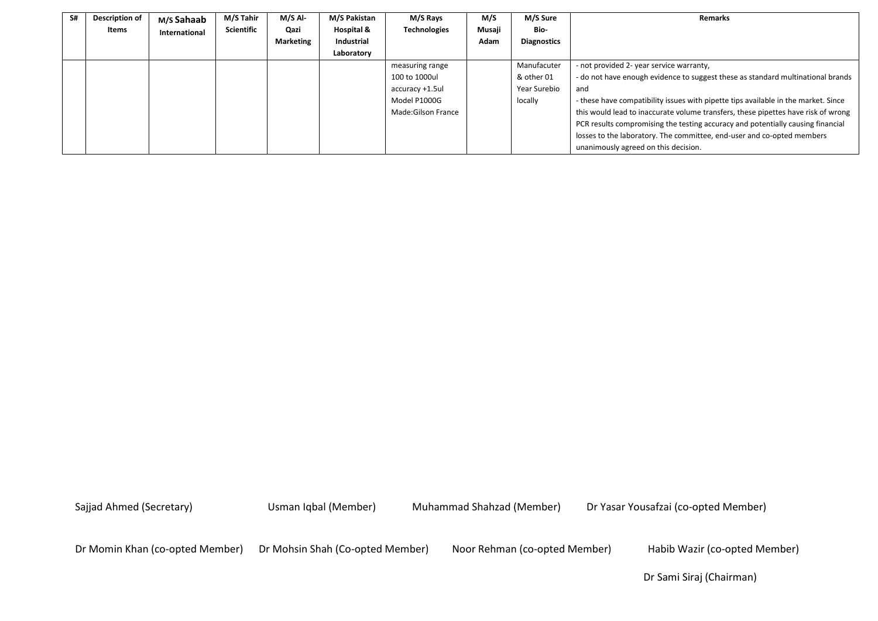| S# | <b>Description of</b> | M/s Sahaab    | M/S Tahir         | $M/S$ Al-        | M/S Pakistan | M/S Rays            | M/S    | M/S Sure           | <b>Remarks</b>                                                                     |
|----|-----------------------|---------------|-------------------|------------------|--------------|---------------------|--------|--------------------|------------------------------------------------------------------------------------|
|    | Items                 | International | <b>Scientific</b> | Qazi             | Hospital &   | <b>Technologies</b> | Musaji | Bio-               |                                                                                    |
|    |                       |               |                   | <b>Marketing</b> | Industrial   |                     | Adam   | <b>Diagnostics</b> |                                                                                    |
|    |                       |               |                   |                  | Laboratory   |                     |        |                    |                                                                                    |
|    |                       |               |                   |                  |              | measuring range     |        | Manufacuter        | - not provided 2- year service warranty,                                           |
|    |                       |               |                   |                  |              | 100 to 1000ul       |        | & other 01         | - do not have enough evidence to suggest these as standard multinational brands    |
|    |                       |               |                   |                  |              | accuracy +1.5ul     |        | Year Surebio       | and                                                                                |
|    |                       |               |                   |                  |              | Model P1000G        |        | locally            | - these have compatibility issues with pipette tips available in the market. Since |
|    |                       |               |                   |                  |              | Made:Gilson France  |        |                    | this would lead to inaccurate volume transfers, these pipettes have risk of wrong  |
|    |                       |               |                   |                  |              |                     |        |                    | PCR results compromising the testing accuracy and potentially causing financial    |
|    |                       |               |                   |                  |              |                     |        |                    | losses to the laboratory. The committee, end-user and co-opted members             |
|    |                       |               |                   |                  |              |                     |        |                    | unanimously agreed on this decision.                                               |

Dr Momin Khan (co-opted Member) Dr Mohsin Shah (Co-opted Member) Noor Rehman (co-opted Member) Habib Wazir (co-opted Member)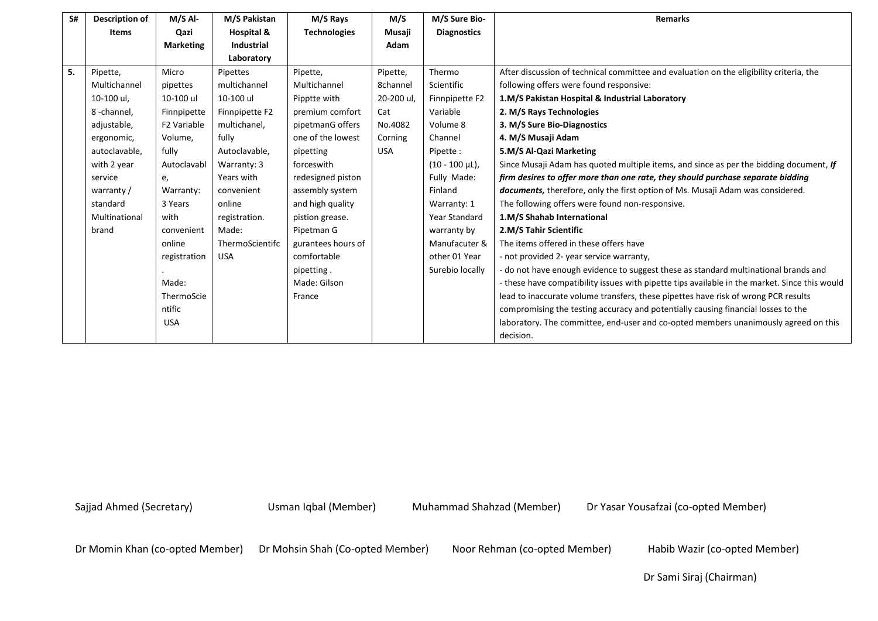| S# | <b>Description of</b> | $M/S$ Al-        | M/S Pakistan    | M/S Rays            | M/S        | M/S Sure Bio-        | <b>Remarks</b>                                                                                |
|----|-----------------------|------------------|-----------------|---------------------|------------|----------------------|-----------------------------------------------------------------------------------------------|
|    | <b>Items</b>          | Qazi             | Hospital &      | <b>Technologies</b> | Musaji     | <b>Diagnostics</b>   |                                                                                               |
|    |                       | <b>Marketing</b> | Industrial      |                     | Adam       |                      |                                                                                               |
|    |                       |                  | Laboratory      |                     |            |                      |                                                                                               |
| 5. | Pipette,              | Micro            | Pipettes        | Pipette,            | Pipette,   | Thermo               | After discussion of technical committee and evaluation on the eligibility criteria, the       |
|    | Multichannel          | pipettes         | multichannel    | Multichannel        | 8channel   | Scientific           | following offers were found responsive:                                                       |
|    | 10-100 ul,            | 10-100 ul        | 10-100 ul       | Pipptte with        | 20-200 ul, | Finnpipette F2       | 1.M/S Pakistan Hospital & Industrial Laboratory                                               |
|    | 8-channel,            | Finnpipette      | Finnpipette F2  | premium comfort     | Cat        | Variable             | 2. M/S Rays Technologies                                                                      |
|    | adjustable,           | F2 Variable      | multichanel,    | pipetmanG offers    | No.4082    | Volume 8             | 3. M/S Sure Bio-Diagnostics                                                                   |
|    | ergonomic,            | Volume,          | fully           | one of the lowest   | Corning    | Channel              | 4. M/S Musaji Adam                                                                            |
|    | autoclavable,         | fully            | Autoclavable,   | pipetting           | <b>USA</b> | Pipette:             | 5.M/S Al-Qazi Marketing                                                                       |
|    | with 2 year           | Autoclavabl      | Warranty: 3     | forceswith          |            | $(10 - 100 \mu L)$ , | Since Musaji Adam has quoted multiple items, and since as per the bidding document, If        |
|    | service               | e,               | Years with      | redesigned piston   |            | Fully Made:          | firm desires to offer more than one rate, they should purchase separate bidding               |
|    | warranty /            | Warranty:        | convenient      | assembly system     |            | Finland              | documents, therefore, only the first option of Ms. Musaji Adam was considered.                |
|    | standard              | 3 Years          | online          | and high quality    |            | Warranty: 1          | The following offers were found non-responsive.                                               |
|    | Multinational         | with             | registration.   | pistion grease.     |            | Year Standard        | 1.M/S Shahab International                                                                    |
|    | brand                 | convenient       | Made:           | Pipetman G          |            | warranty by          | 2.M/S Tahir Scientific                                                                        |
|    |                       | online           | ThermoScientifc | gurantees hours of  |            | Manufacuter &        | The items offered in these offers have                                                        |
|    |                       | registration     | <b>USA</b>      | comfortable         |            | other 01 Year        | - not provided 2- year service warranty,                                                      |
|    |                       |                  |                 | pipetting.          |            | Surebio locally      | - do not have enough evidence to suggest these as standard multinational brands and           |
|    |                       | Made:            |                 | Made: Gilson        |            |                      | - these have compatibility issues with pipette tips available in the market. Since this would |
|    |                       | ThermoScie       |                 | France              |            |                      | lead to inaccurate volume transfers, these pipettes have risk of wrong PCR results            |
|    |                       | ntific           |                 |                     |            |                      | compromising the testing accuracy and potentially causing financial losses to the             |
|    |                       | <b>USA</b>       |                 |                     |            |                      | laboratory. The committee, end-user and co-opted members unanimously agreed on this           |
|    |                       |                  |                 |                     |            |                      | decision.                                                                                     |

Dr Momin Khan (co-opted Member) Dr Mohsin Shah (Co-opted Member) Noor Rehman (co-opted Member) Habib Wazir (co-opted Member)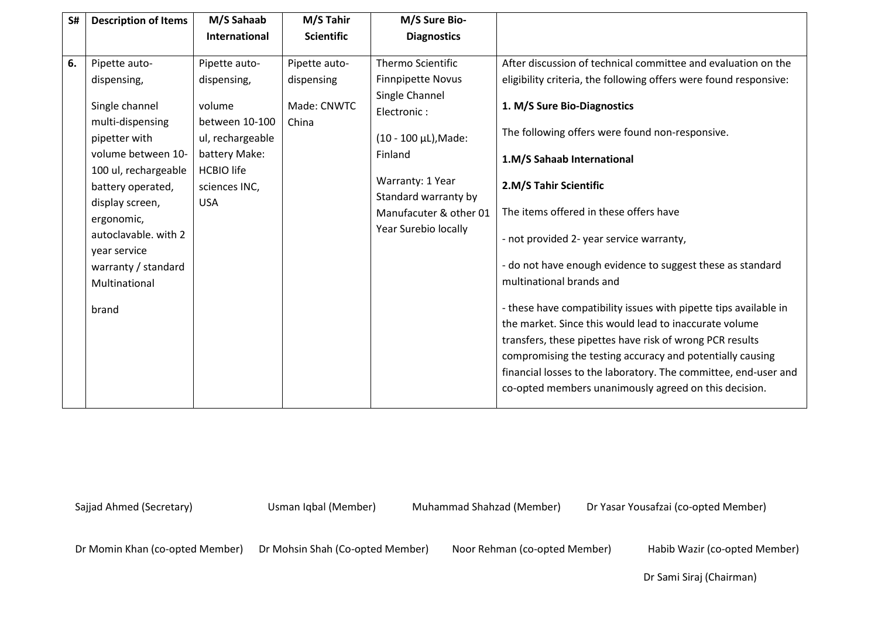| S# | <b>Description of Items</b> | M/S Sahaab        | M/S Tahir         | M/S Sure Bio-            |                                                                                                                                                                                                                                                                                                                        |
|----|-----------------------------|-------------------|-------------------|--------------------------|------------------------------------------------------------------------------------------------------------------------------------------------------------------------------------------------------------------------------------------------------------------------------------------------------------------------|
|    |                             | International     | <b>Scientific</b> | <b>Diagnostics</b>       |                                                                                                                                                                                                                                                                                                                        |
|    |                             |                   |                   |                          |                                                                                                                                                                                                                                                                                                                        |
| 6. | Pipette auto-               | Pipette auto-     | Pipette auto-     | <b>Thermo Scientific</b> | After discussion of technical committee and evaluation on the                                                                                                                                                                                                                                                          |
|    | dispensing,                 | dispensing,       | dispensing        | <b>Finnpipette Novus</b> | eligibility criteria, the following offers were found responsive:                                                                                                                                                                                                                                                      |
|    |                             |                   | Made: CNWTC       | Single Channel           |                                                                                                                                                                                                                                                                                                                        |
|    | Single channel              | volume            |                   | Electronic:              | 1. M/S Sure Bio-Diagnostics                                                                                                                                                                                                                                                                                            |
|    | multi-dispensing            | between 10-100    | China             |                          | The following offers were found non-responsive.                                                                                                                                                                                                                                                                        |
|    | pipetter with               | ul, rechargeable  |                   | (10 - 100 µL), Made:     |                                                                                                                                                                                                                                                                                                                        |
|    | volume between 10-          | battery Make:     |                   | Finland                  | 1.M/S Sahaab International                                                                                                                                                                                                                                                                                             |
|    | 100 ul, rechargeable        | <b>HCBIO</b> life |                   |                          |                                                                                                                                                                                                                                                                                                                        |
|    | battery operated,           | sciences INC,     |                   | Warranty: 1 Year         | 2.M/S Tahir Scientific                                                                                                                                                                                                                                                                                                 |
|    | display screen,             | <b>USA</b>        |                   | Standard warranty by     |                                                                                                                                                                                                                                                                                                                        |
|    | ergonomic,                  |                   |                   | Manufacuter & other 01   | The items offered in these offers have                                                                                                                                                                                                                                                                                 |
|    | autoclavable. with 2        |                   |                   | Year Surebio locally     | - not provided 2- year service warranty,                                                                                                                                                                                                                                                                               |
|    | year service                |                   |                   |                          |                                                                                                                                                                                                                                                                                                                        |
|    | warranty / standard         |                   |                   |                          | - do not have enough evidence to suggest these as standard                                                                                                                                                                                                                                                             |
|    | Multinational               |                   |                   |                          | multinational brands and                                                                                                                                                                                                                                                                                               |
|    | brand                       |                   |                   |                          | - these have compatibility issues with pipette tips available in<br>the market. Since this would lead to inaccurate volume<br>transfers, these pipettes have risk of wrong PCR results<br>compromising the testing accuracy and potentially causing<br>financial losses to the laboratory. The committee, end-user and |
|    |                             |                   |                   |                          | co-opted members unanimously agreed on this decision.                                                                                                                                                                                                                                                                  |

Dr Momin Khan (co-opted Member) Dr Mohsin Shah (Co-opted Member) Noor Rehman (co-opted Member) Habib Wazir (co-opted Member)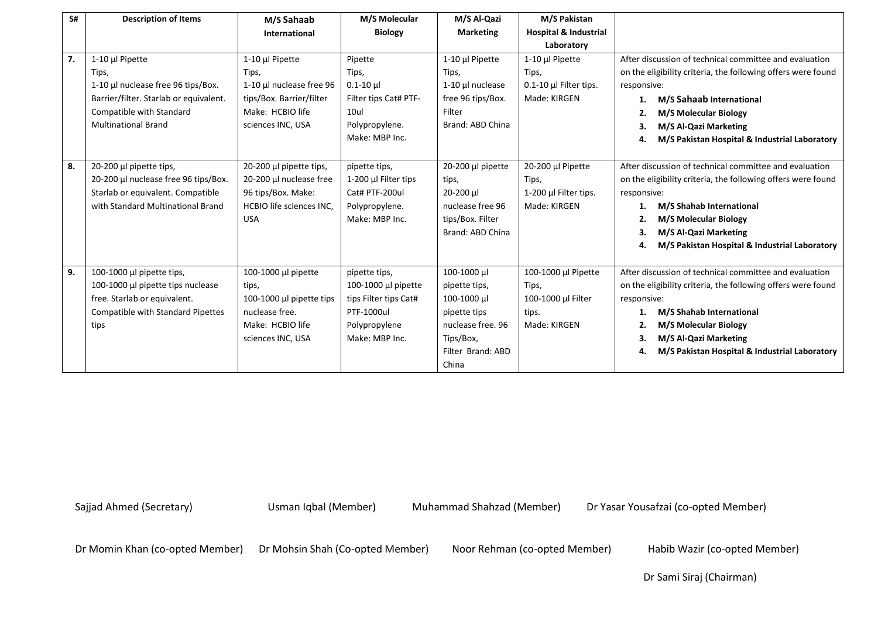| S# | <b>Description of Items</b>              | M/S Sahaab                      | M/S Molecular             | M/S Al-Qazi       | M/S Pakistan                     |                                                              |
|----|------------------------------------------|---------------------------------|---------------------------|-------------------|----------------------------------|--------------------------------------------------------------|
|    |                                          | International                   | <b>Biology</b>            | <b>Marketing</b>  | <b>Hospital &amp; Industrial</b> |                                                              |
|    |                                          |                                 |                           |                   | Laboratory                       |                                                              |
| 7. | 1-10 µl Pipette                          | 1-10 µl Pipette                 | Pipette                   | 1-10 µl Pipette   | 1-10 µl Pipette                  | After discussion of technical committee and evaluation       |
|    | Tips,                                    | Tips,                           | Tips,                     | Tips,             | Tips,                            | on the eligibility criteria, the following offers were found |
|    | 1-10 µl nuclease free 96 tips/Box.       | 1-10 µl nuclease free 96        | $0.1 - 10 \mu$            | 1-10 µl nuclease  | 0.1-10 µl Filter tips.           | responsive:                                                  |
|    | Barrier/filter. Starlab or equivalent.   | tips/Box. Barrier/filter        | Filter tips Cat# PTF-     | free 96 tips/Box. | Made: KIRGEN                     | M/S Sahaab International<br>1.                               |
|    | Compatible with Standard                 | Make: HCBIO life                | 10ul                      | Filter            |                                  | <b>M/S Molecular Biology</b><br>2.                           |
|    | <b>Multinational Brand</b>               | sciences INC, USA               | Polypropylene.            | Brand: ABD China  |                                  | 3.<br>M/S Al-Qazi Marketing                                  |
|    |                                          |                                 | Make: MBP Inc.            |                   |                                  | M/S Pakistan Hospital & Industrial Laboratory<br>4.          |
|    |                                          |                                 |                           |                   |                                  |                                                              |
| 8. | $20-200$ µl pipette tips,                | 20-200 µl pipette tips,         | pipette tips,             | 20-200 µl pipette | 20-200 µl Pipette                | After discussion of technical committee and evaluation       |
|    | 20-200 µl nuclease free 96 tips/Box.     | 20-200 µl nuclease free         | 1-200 $\mu$ I Filter tips | tips,             | Tips,                            | on the eligibility criteria, the following offers were found |
|    | Starlab or equivalent. Compatible        | 96 tips/Box. Make:              | Cat# PTF-200ul            | 20-200 µl         | 1-200 µl Filter tips.            | responsive:                                                  |
|    | with Standard Multinational Brand        | <b>HCBIO life sciences INC.</b> | Polypropylene.            | nuclease free 96  | Made: KIRGEN                     | M/S Shahab International                                     |
|    |                                          | <b>USA</b>                      | Make: MBP Inc.            | tips/Box. Filter  |                                  | M/S Molecular Biology<br>2.                                  |
|    |                                          |                                 |                           | Brand: ABD China  |                                  | M/S Al-Qazi Marketing<br>З.                                  |
|    |                                          |                                 |                           |                   |                                  | M/S Pakistan Hospital & Industrial Laboratory<br>4.          |
|    |                                          |                                 |                           |                   |                                  |                                                              |
| 9. | 100-1000 µl pipette tips,                | 100-1000 µl pipette             | pipette tips,             | 100-1000 µl       | 100-1000 µl Pipette              | After discussion of technical committee and evaluation       |
|    | 100-1000 µl pipette tips nuclease        | tips,                           | 100-1000 µl pipette       | pipette tips,     | Tips,                            | on the eligibility criteria, the following offers were found |
|    | free. Starlab or equivalent.             | 100-1000 µl pipette tips        | tips Filter tips Cat#     | 100-1000 µl       | 100-1000 µl Filter               | responsive:                                                  |
|    | <b>Compatible with Standard Pipettes</b> | nuclease free.                  | PTF-1000ul                | pipette tips      | tips.                            | <b>M/S Shahab International</b>                              |
|    | tips                                     | Make: HCBIO life                | Polypropylene             | nuclease free. 96 | Made: KIRGEN                     | M/S Molecular Biology<br>2.                                  |
|    |                                          | sciences INC, USA               | Make: MBP Inc.            | Tips/Box,         |                                  | M/S Al-Qazi Marketing<br>З.                                  |
|    |                                          |                                 |                           | Filter Brand: ABD |                                  | M/S Pakistan Hospital & Industrial Laboratory<br>4.          |
|    |                                          |                                 |                           | China             |                                  |                                                              |

Dr Momin Khan (co-opted Member) Dr Mohsin Shah (Co-opted Member) Noor Rehman (co-opted Member) Habib Wazir (co-opted Member)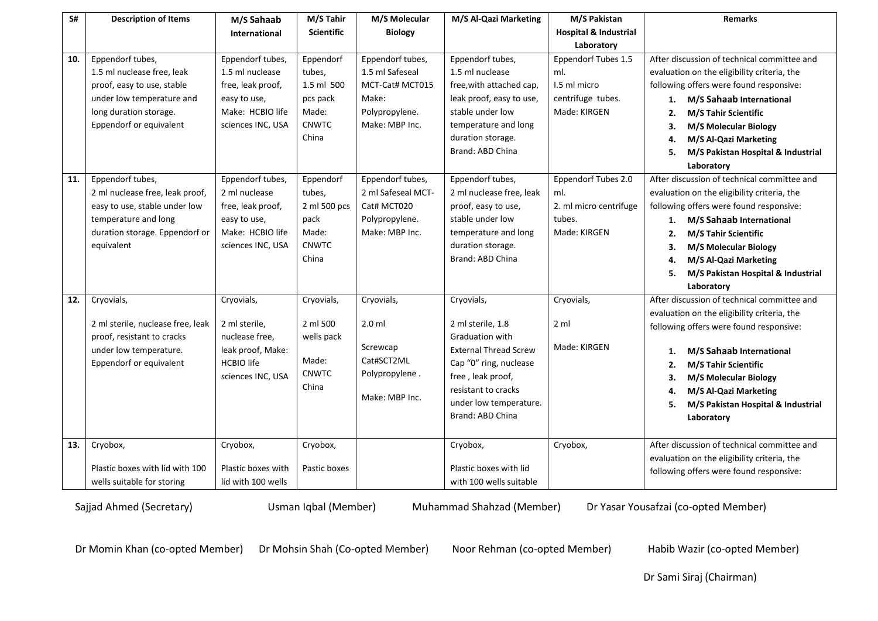| S#  | <b>Description of Items</b>       | M/S Sahaab           | M/S Tahir    | M/S Molecular          | M/S Al-Qazi Marketing        | M/S Pakistan                     | <b>Remarks</b>                              |
|-----|-----------------------------------|----------------------|--------------|------------------------|------------------------------|----------------------------------|---------------------------------------------|
|     |                                   | <b>International</b> | Scientific   | <b>Biology</b>         |                              | <b>Hospital &amp; Industrial</b> |                                             |
|     |                                   |                      |              |                        |                              | Laboratory                       |                                             |
| 10. | Eppendorf tubes,                  | Eppendorf tubes,     | Eppendorf    | Eppendorf tubes,       | Eppendorf tubes,             | Eppendorf Tubes 1.5              | After discussion of technical committee and |
|     | 1.5 ml nuclease free, leak        | 1.5 ml nuclease      | tubes,       | 1.5 ml Safeseal        | 1.5 ml nuclease              | ml.                              | evaluation on the eligibility criteria, the |
|     | proof, easy to use, stable        | free, leak proof,    | 1.5 ml 500   | MCT-Cat# MCT015        | free, with attached cap,     | 1.5 ml micro                     | following offers were found responsive:     |
|     | under low temperature and         | easy to use,         | pcs pack     | Make:                  | leak proof, easy to use,     | centrifuge tubes.                | 1. M/S Sahaab International                 |
|     | long duration storage.            | Make: HCBIO life     | Made:        | Polypropylene.         | stable under low             | Made: KIRGEN                     | M/S Tahir Scientific<br>2.                  |
|     | Eppendorf or equivalent           | sciences INC, USA    | <b>CNWTC</b> | Make: MBP Inc.         | temperature and long         |                                  | <b>M/S Molecular Biology</b><br>З.          |
|     |                                   |                      | China        |                        | duration storage.            |                                  | M/S Al-Qazi Marketing<br>4.                 |
|     |                                   |                      |              |                        | Brand: ABD China             |                                  | M/S Pakistan Hospital & Industrial<br>5.    |
|     |                                   |                      |              |                        |                              |                                  | Laboratory                                  |
| 11. | Eppendorf tubes,                  | Eppendorf tubes,     | Eppendorf    | Eppendorf tubes,       | Eppendorf tubes,             | Eppendorf Tubes 2.0              | After discussion of technical committee and |
|     | 2 ml nuclease free, leak proof,   | 2 ml nuclease        | tubes,       | 2 ml Safeseal MCT-     | 2 ml nuclease free, leak     | ml.                              | evaluation on the eligibility criteria, the |
|     | easy to use, stable under low     | free, leak proof,    | 2 ml 500 pcs | Cat# MCT020            | proof, easy to use,          | 2. ml micro centrifuge           | following offers were found responsive:     |
|     | temperature and long              | easy to use,         | pack         | Polypropylene.         | stable under low             | tubes.                           | M/S Sahaab International<br>1.              |
|     | duration storage. Eppendorf or    | Make: HCBIO life     | Made:        | Make: MBP Inc.         | temperature and long         | Made: KIRGEN                     | <b>M/S Tahir Scientific</b><br>2.           |
|     | equivalent                        | sciences INC, USA    | <b>CNWTC</b> |                        | duration storage.            |                                  | <b>M/S Molecular Biology</b><br>З.          |
|     |                                   |                      | China        |                        | Brand: ABD China             |                                  | M/S Al-Qazi Marketing<br>4.                 |
|     |                                   |                      |              |                        |                              |                                  | M/S Pakistan Hospital & Industrial<br>5.    |
|     |                                   |                      |              |                        |                              |                                  | Laboratory                                  |
| 12. | Cryovials,                        | Cryovials,           | Cryovials,   | Cryovials,             | Cryovials,                   | Cryovials,                       | After discussion of technical committee and |
|     |                                   |                      |              |                        |                              |                                  | evaluation on the eligibility criteria, the |
|     | 2 ml sterile, nuclease free, leak | 2 ml sterile,        | 2 ml 500     | $2.0$ ml               | 2 ml sterile, 1.8            | 2 <sub>m</sub>                   | following offers were found responsive:     |
|     | proof, resistant to cracks        | nuclease free,       | wells pack   |                        | <b>Graduation with</b>       | Made: KIRGEN                     |                                             |
|     | under low temperature.            | leak proof, Make:    | Made:        | Screwcap<br>Cat#SCT2ML | <b>External Thread Screw</b> |                                  | M/S Sahaab International<br>1.              |
|     | Eppendorf or equivalent           | <b>HCBIO</b> life    | CNWTC        |                        | Cap "0" ring, nuclease       |                                  | M/S Tahir Scientific<br>2.                  |
|     |                                   | sciences INC, USA    | China        | Polypropylene.         | free, leak proof,            |                                  | M/S Molecular Biology<br>3.                 |
|     |                                   |                      |              | Make: MBP Inc.         | resistant to cracks          |                                  | M/S Al-Qazi Marketing<br>4.                 |
|     |                                   |                      |              |                        | under low temperature.       |                                  | M/S Pakistan Hospital & Industrial<br>5.    |
|     |                                   |                      |              |                        | Brand: ABD China             |                                  | Laboratory                                  |
|     |                                   |                      |              |                        |                              |                                  |                                             |
| 13. | Cryobox,                          | Cryobox,             | Cryobox,     |                        | Cryobox,                     | Cryobox,                         | After discussion of technical committee and |
|     |                                   |                      |              |                        |                              |                                  | evaluation on the eligibility criteria, the |
|     | Plastic boxes with lid with 100   | Plastic boxes with   | Pastic boxes |                        | Plastic boxes with lid       |                                  | following offers were found responsive:     |
|     | wells suitable for storing        | lid with 100 wells   |              |                        | with 100 wells suitable      |                                  |                                             |

Dr Momin Khan (co-opted Member) Dr Mohsin Shah (Co-opted Member) Noor Rehman (co-opted Member) Habib Wazir (co-opted Member)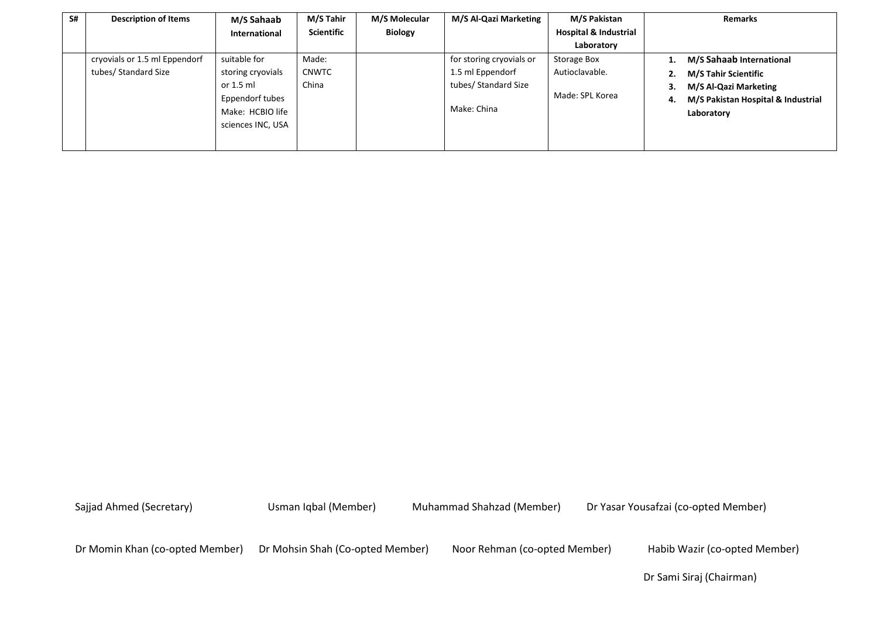| S# | <b>Description of Items</b>   | M/S Sahaab           | M/S Tahir    | M/S Molecular  | M/S Al-Qazi Marketing    | M/S Pakistan                     | <b>Remarks</b>                           |
|----|-------------------------------|----------------------|--------------|----------------|--------------------------|----------------------------------|------------------------------------------|
|    |                               | <b>International</b> | Scientific   | <b>Biology</b> |                          | <b>Hospital &amp; Industrial</b> |                                          |
|    |                               |                      |              |                |                          | Laboratory                       |                                          |
|    | cryovials or 1.5 ml Eppendorf | suitable for         | Made:        |                | for storing cryovials or | Storage Box                      | M/S Sahaab International<br>1.           |
|    | tubes/ Standard Size          | storing cryovials    | <b>CNWTC</b> |                | 1.5 ml Eppendorf         | Autioclavable.                   | M/S Tahir Scientific<br>2.               |
|    |                               | or 1.5 ml            | China        |                | tubes/ Standard Size     |                                  | M/S Al-Qazi Marketing<br>3.              |
|    |                               | Eppendorf tubes      |              |                |                          | Made: SPL Korea                  | M/S Pakistan Hospital & Industrial<br>4. |
|    |                               | Make: HCBIO life     |              |                | Make: China              |                                  | Laboratory                               |
|    |                               | sciences INC, USA    |              |                |                          |                                  |                                          |
|    |                               |                      |              |                |                          |                                  |                                          |

Dr Momin Khan (co-opted Member) Dr Mohsin Shah (Co-opted Member) Noor Rehman (co-opted Member) Habib Wazir (co-opted Member)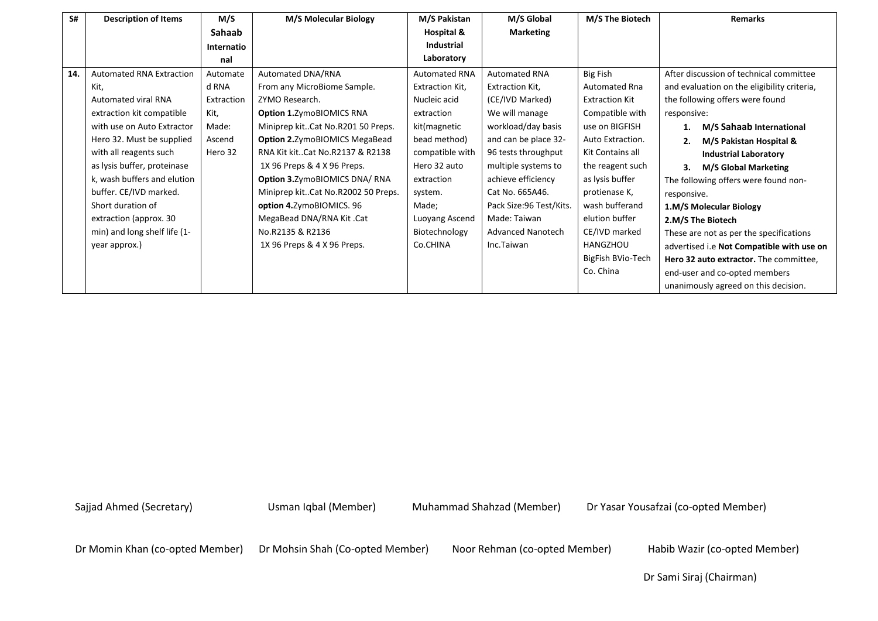| S#  | <b>Description of Items</b>     | M/S        | M/S Molecular Biology                 | M/S Pakistan         | M/S Global               | M/S The Biotech       | <b>Remarks</b>                              |
|-----|---------------------------------|------------|---------------------------------------|----------------------|--------------------------|-----------------------|---------------------------------------------|
|     |                                 | Sahaab     |                                       | Hospital &           | <b>Marketing</b>         |                       |                                             |
|     |                                 | Internatio |                                       | <b>Industrial</b>    |                          |                       |                                             |
|     |                                 | nal        |                                       | Laboratory           |                          |                       |                                             |
| 14. | <b>Automated RNA Extraction</b> | Automate   | Automated DNA/RNA                     | <b>Automated RNA</b> | <b>Automated RNA</b>     | <b>Big Fish</b>       | After discussion of technical committee     |
|     | Kit,                            | d RNA      | From any MicroBiome Sample.           | Extraction Kit,      | Extraction Kit,          | <b>Automated Rna</b>  | and evaluation on the eligibility criteria, |
|     | <b>Automated viral RNA</b>      | Extraction | ZYMO Research.                        | Nucleic acid         | (CE/IVD Marked)          | <b>Extraction Kit</b> | the following offers were found             |
|     | extraction kit compatible       | Kit,       | <b>Option 1.</b> Zymo BIOMICS RNA     | extraction           | We will manage           | Compatible with       | responsive:                                 |
|     | with use on Auto Extractor      | Made:      | Miniprep kitCat No.R201 50 Preps.     | kit(magnetic         | workload/day basis       | use on BIGFISH        | M/S Sahaab International                    |
|     | Hero 32. Must be supplied       | Ascend     | <b>Option 2.</b> ZymoBIOMICS MegaBead | bead method)         | and can be place 32-     | Auto Extraction.      | M/S Pakistan Hospital &<br>2.               |
|     | with all reagents such          | Hero 32    | RNA Kit kitCat No.R2137 & R2138       | compatible with      | 96 tests throughput      | Kit Contains all      | <b>Industrial Laboratory</b>                |
|     | as lysis buffer, proteinase     |            | 1X 96 Preps & 4 X 96 Preps.           | Hero 32 auto         | multiple systems to      | the reagent such      | <b>M/S Global Marketing</b><br>3.           |
|     | k, wash buffers and elution     |            | Option 3. ZymoBIOMICS DNA/RNA         | extraction           | achieve efficiency       | as lysis buffer       | The following offers were found non-        |
|     | buffer. CE/IVD marked.          |            | Miniprep kitCat No.R2002 50 Preps.    | system.              | Cat No. 665A46.          | protienase K,         | responsive.                                 |
|     | Short duration of               |            | option 4.ZymoBIOMICS. 96              | Made;                | Pack Size: 96 Test/Kits. | wash bufferand        | 1.M/S Molecular Biology                     |
|     | extraction (approx. 30          |            | MegaBead DNA/RNA Kit.Cat              | Luoyang Ascend       | Made: Taiwan             | elution buffer        | 2.M/S The Biotech                           |
|     | min) and long shelf life (1-    |            | No.R2135 & R2136                      | Biotechnology        | <b>Advanced Nanotech</b> | CE/IVD marked         | These are not as per the specifications     |
|     | year approx.)                   |            | 1X 96 Preps & 4 X 96 Preps.           | Co.CHINA             | Inc.Taiwan               | <b>HANGZHOU</b>       | advertised i.e Not Compatible with use on   |
|     |                                 |            |                                       |                      |                          | BigFish BVio-Tech     | Hero 32 auto extractor. The committee,      |
|     |                                 |            |                                       |                      |                          | Co. China             | end-user and co-opted members               |
|     |                                 |            |                                       |                      |                          |                       | unanimously agreed on this decision.        |

Dr Momin Khan (co-opted Member) Dr Mohsin Shah (Co-opted Member) Noor Rehman (co-opted Member) Habib Wazir (co-opted Member)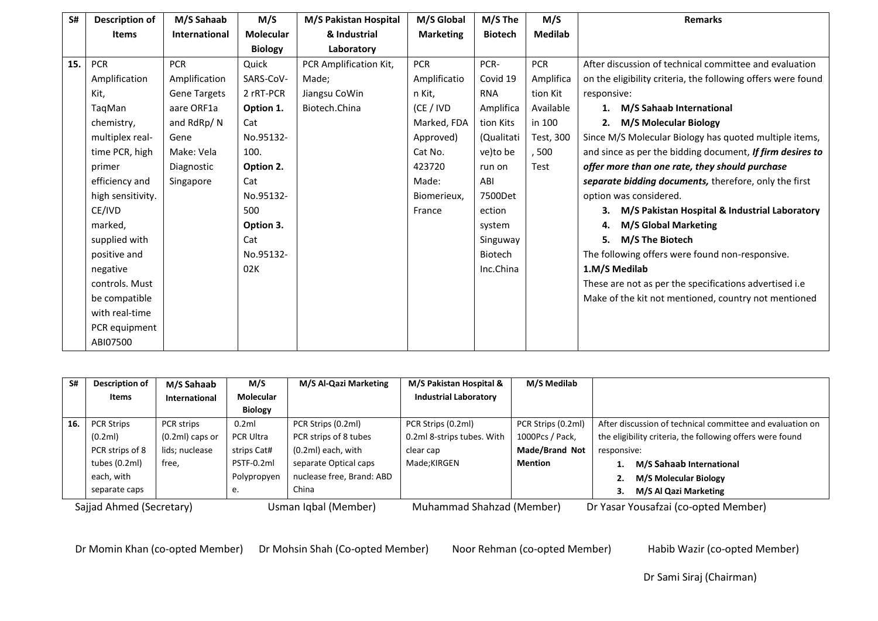| S#  | <b>Description of</b> | M/S Sahaab           | M/S              | M/S Pakistan Hospital  | M/S Global       | M/S The        | M/S            | <b>Remarks</b>                                               |
|-----|-----------------------|----------------------|------------------|------------------------|------------------|----------------|----------------|--------------------------------------------------------------|
|     | <b>Items</b>          | <b>International</b> | <b>Molecular</b> | & Industrial           | <b>Marketing</b> | <b>Biotech</b> | <b>Medilab</b> |                                                              |
|     |                       |                      | <b>Biology</b>   | Laboratory             |                  |                |                |                                                              |
| 15. | <b>PCR</b>            | <b>PCR</b>           | Quick            | PCR Amplification Kit, | <b>PCR</b>       | PCR-           | <b>PCR</b>     | After discussion of technical committee and evaluation       |
|     | Amplification         | Amplification        | SARS-CoV-        | Made;                  | Amplificatio     | Covid 19       | Amplifica      | on the eligibility criteria, the following offers were found |
|     | Kit,                  | <b>Gene Targets</b>  | 2 rRT-PCR        | Jiangsu CoWin          | n Kit,           | <b>RNA</b>     | tion Kit       | responsive:                                                  |
|     | TagMan                | aare ORF1a           | Option 1.        | Biotech.China          | (CE / IVD        | Amplifica      | Available      | M/S Sahaab International<br>1.                               |
|     | chemistry,            | and RdRp/N           | Cat              |                        | Marked, FDA      | tion Kits      | in 100         | <b>M/S Molecular Biology</b><br>2.                           |
|     | multiplex real-       | Gene                 | No.95132-        |                        | Approved)        | (Qualitati     | Test, 300      | Since M/S Molecular Biology has quoted multiple items,       |
|     | time PCR, high        | Make: Vela           | 100.             |                        | Cat No.          | ve)to be       | ,500           | and since as per the bidding document, If firm desires to    |
|     | primer                | Diagnostic           | Option 2.        |                        | 423720           | run on         | Test           | offer more than one rate, they should purchase               |
|     | efficiency and        | Singapore            | Cat              |                        | Made:            | ABI            |                | separate bidding documents, therefore, only the first        |
|     | high sensitivity.     |                      | No.95132-        |                        | Biomerieux,      | 7500Det        |                | option was considered.                                       |
|     | CE/IVD                |                      | 500              |                        | France           | ection         |                | M/S Pakistan Hospital & Industrial Laboratory<br>З.          |
|     | marked,               |                      | Option 3.        |                        |                  | system         |                | <b>M/S Global Marketing</b><br>4.                            |
|     | supplied with         |                      | Cat              |                        |                  | Singuway       |                | M/S The Biotech<br>5.                                        |
|     | positive and          |                      | No.95132-        |                        |                  | Biotech        |                | The following offers were found non-responsive.              |
|     | negative              |                      | 02K              |                        |                  | Inc.China      |                | 1.M/S Medilab                                                |
|     | controls. Must        |                      |                  |                        |                  |                |                | These are not as per the specifications advertised i.e       |
|     | be compatible         |                      |                  |                        |                  |                |                | Make of the kit not mentioned, country not mentioned         |
|     | with real-time        |                      |                  |                        |                  |                |                |                                                              |
|     | PCR equipment         |                      |                  |                        |                  |                |                |                                                              |
|     | ABI07500              |                      |                  |                        |                  |                |                |                                                              |

| S#                       | Description of    | M/S Sahaab           | M/S                  | M/S Al-Qazi Marketing     | M/S Pakistan Hospital &      | M/S Medilab                          |                                                           |
|--------------------------|-------------------|----------------------|----------------------|---------------------------|------------------------------|--------------------------------------|-----------------------------------------------------------|
|                          | Items             | <b>International</b> | Molecular            |                           | <b>Industrial Laboratory</b> |                                      |                                                           |
|                          |                   |                      | <b>Biology</b>       |                           |                              |                                      |                                                           |
| 16.                      | <b>PCR Strips</b> | <b>PCR</b> strips    | 0.2ml                | PCR Strips (0.2ml)        | PCR Strips (0.2ml)           | PCR Strips (0.2ml)                   | After discussion of technical committee and evaluation on |
|                          | (0.2ml)           | $(0.2ml)$ caps or    | <b>PCR Ultra</b>     | PCR strips of 8 tubes     | 0.2ml 8-strips tubes. With   | 1000Pcs / Pack,                      | the eligibility criteria, the following offers were found |
|                          | PCR strips of 8   | lids; nuclease       | strips Cat#          | $(0.2ml)$ each, with      | clear cap                    | Made/Brand Not                       | responsive:                                               |
|                          | tubes (0.2ml)     | free,                | PSTF-0.2ml           | separate Optical caps     | Made;KIRGEN                  | Mention                              | M/S Sahaab International                                  |
|                          | each, with        |                      | Polypropyen          | nuclease free, Brand: ABD |                              |                                      | <b>M/S Molecular Biology</b><br>z.                        |
|                          | separate caps     |                      | e.                   | China                     |                              |                                      | M/S Al Qazi Marketing                                     |
| Sajjad Ahmed (Secretary) |                   |                      | Usman Iqbal (Member) | Muhammad Shahzad (Member) |                              | Dr Yasar Yousafzai (co-opted Member) |                                                           |

Dr Momin Khan (co-opted Member) Dr Mohsin Shah (Co-opted Member) Noor Rehman (co-opted Member) Habib Wazir (co-opted Member)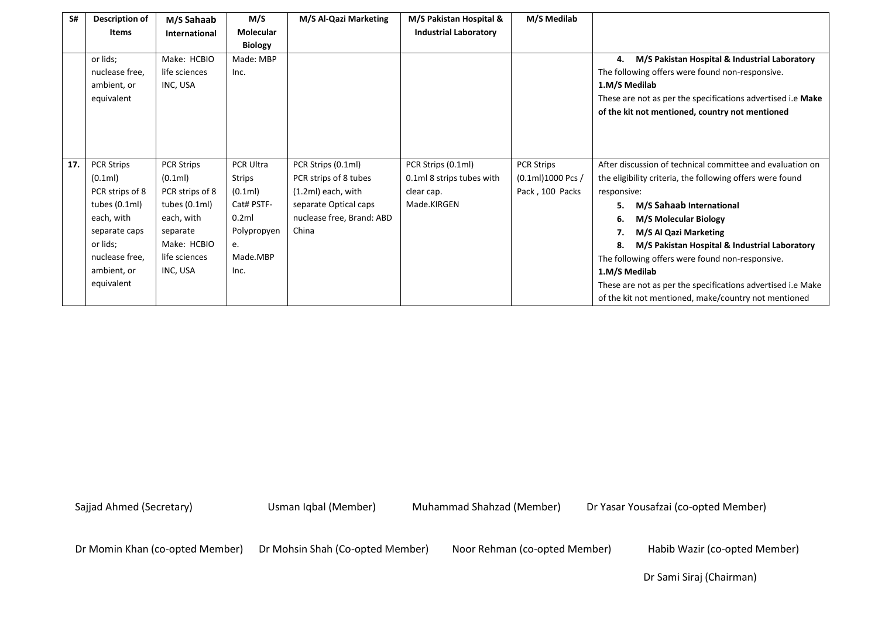| S#  | Description of    | M/S Sahaab        | M/S              | M/S Al-Qazi Marketing     | M/S Pakistan Hospital &      | M/S Medilab         |                                                             |
|-----|-------------------|-------------------|------------------|---------------------------|------------------------------|---------------------|-------------------------------------------------------------|
|     | <b>Items</b>      | International     | <b>Molecular</b> |                           | <b>Industrial Laboratory</b> |                     |                                                             |
|     |                   |                   | <b>Biology</b>   |                           |                              |                     |                                                             |
|     | or lids;          | Make: HCBIO       | Made: MBP        |                           |                              |                     | M/S Pakistan Hospital & Industrial Laboratory<br>4.         |
|     | nuclease free,    | life sciences     | Inc.             |                           |                              |                     | The following offers were found non-responsive.             |
|     | ambient, or       | INC, USA          |                  |                           |                              |                     | 1.M/S Medilab                                               |
|     | equivalent        |                   |                  |                           |                              |                     | These are not as per the specifications advertised i.e Make |
|     |                   |                   |                  |                           |                              |                     | of the kit not mentioned, country not mentioned             |
|     |                   |                   |                  |                           |                              |                     |                                                             |
|     |                   |                   |                  |                           |                              |                     |                                                             |
|     |                   |                   |                  |                           |                              |                     |                                                             |
| 17. | <b>PCR Strips</b> | <b>PCR Strips</b> | PCR Ultra        | PCR Strips (0.1ml)        | PCR Strips (0.1ml)           | <b>PCR Strips</b>   | After discussion of technical committee and evaluation on   |
|     | (0.1ml)           | (0.1ml)           | Strips           | PCR strips of 8 tubes     | 0.1ml 8 strips tubes with    | $(0.1ml)1000$ Pcs / | the eligibility criteria, the following offers were found   |
|     | PCR strips of 8   | PCR strips of 8   | (0.1ml)          | $(1.2ml)$ each, with      | clear cap.                   | Pack, 100 Packs     | responsive:                                                 |
|     | tubes $(0.1ml)$   | tubes $(0.1ml)$   | Cat# PSTF-       | separate Optical caps     | Made.KIRGEN                  |                     | M/S Sahaab International<br>5.                              |
|     | each, with        | each, with        | 0.2ml            | nuclease free, Brand: ABD |                              |                     | <b>M/S Molecular Biology</b><br>6.                          |
|     | separate caps     | separate          | Polypropyen      | China                     |                              |                     | M/S Al Qazi Marketing<br>7.                                 |
|     | or lids;          | Make: HCBIO       | e.               |                           |                              |                     | M/S Pakistan Hospital & Industrial Laboratory<br>8.         |
|     | nuclease free.    | life sciences     | Made.MBP         |                           |                              |                     | The following offers were found non-responsive.             |
|     | ambient, or       | INC, USA          | Inc.             |                           |                              |                     | 1.M/S Medilab                                               |
|     | equivalent        |                   |                  |                           |                              |                     | These are not as per the specifications advertised i.e Make |
|     |                   |                   |                  |                           |                              |                     | of the kit not mentioned, make/country not mentioned        |

Dr Momin Khan (co-opted Member) Dr Mohsin Shah (Co-opted Member) Noor Rehman (co-opted Member) Habib Wazir (co-opted Member)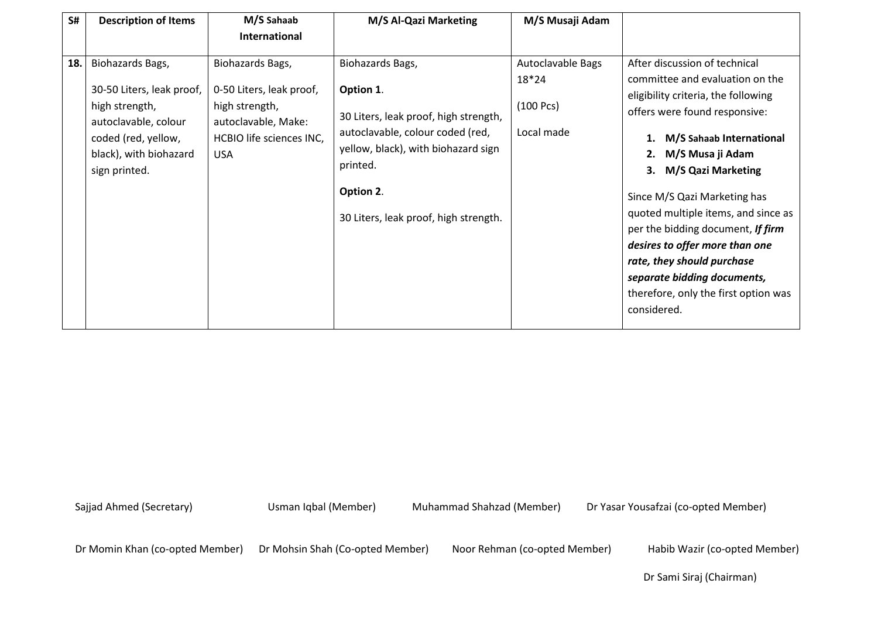| S#  | <b>Description of Items</b>                                                                                                                               | M/S Sahaab                                                                                                                      | M/S Al-Qazi Marketing                                                                                                                                                                                               | M/S Musaji Adam                                       |                                                                                                                                                                                                                                                                                                                                                                                                                                                                                                           |
|-----|-----------------------------------------------------------------------------------------------------------------------------------------------------------|---------------------------------------------------------------------------------------------------------------------------------|---------------------------------------------------------------------------------------------------------------------------------------------------------------------------------------------------------------------|-------------------------------------------------------|-----------------------------------------------------------------------------------------------------------------------------------------------------------------------------------------------------------------------------------------------------------------------------------------------------------------------------------------------------------------------------------------------------------------------------------------------------------------------------------------------------------|
|     |                                                                                                                                                           | <b>International</b>                                                                                                            |                                                                                                                                                                                                                     |                                                       |                                                                                                                                                                                                                                                                                                                                                                                                                                                                                                           |
| 18. | Biohazards Bags,<br>30-50 Liters, leak proof,<br>high strength,<br>autoclavable, colour<br>coded (red, yellow,<br>black), with biohazard<br>sign printed. | Biohazards Bags,<br>0-50 Liters, leak proof,<br>high strength,<br>autoclavable, Make:<br>HCBIO life sciences INC,<br><b>USA</b> | Biohazards Bags,<br>Option 1.<br>30 Liters, leak proof, high strength,<br>autoclavable, colour coded (red,<br>yellow, black), with biohazard sign<br>printed.<br>Option 2.<br>30 Liters, leak proof, high strength. | Autoclavable Bags<br>18*24<br>(100 Pcs)<br>Local made | After discussion of technical<br>committee and evaluation on the<br>eligibility criteria, the following<br>offers were found responsive:<br>M/S Sahaab International<br>1.<br>M/S Musa ji Adam<br>2.<br><b>M/S Qazi Marketing</b><br>3.<br>Since M/S Qazi Marketing has<br>quoted multiple items, and since as<br>per the bidding document, If firm<br>desires to offer more than one<br>rate, they should purchase<br>separate bidding documents,<br>therefore, only the first option was<br>considered. |

Dr Momin Khan (co-opted Member) Dr Mohsin Shah (Co-opted Member) Noor Rehman (co-opted Member) Habib Wazir (co-opted Member)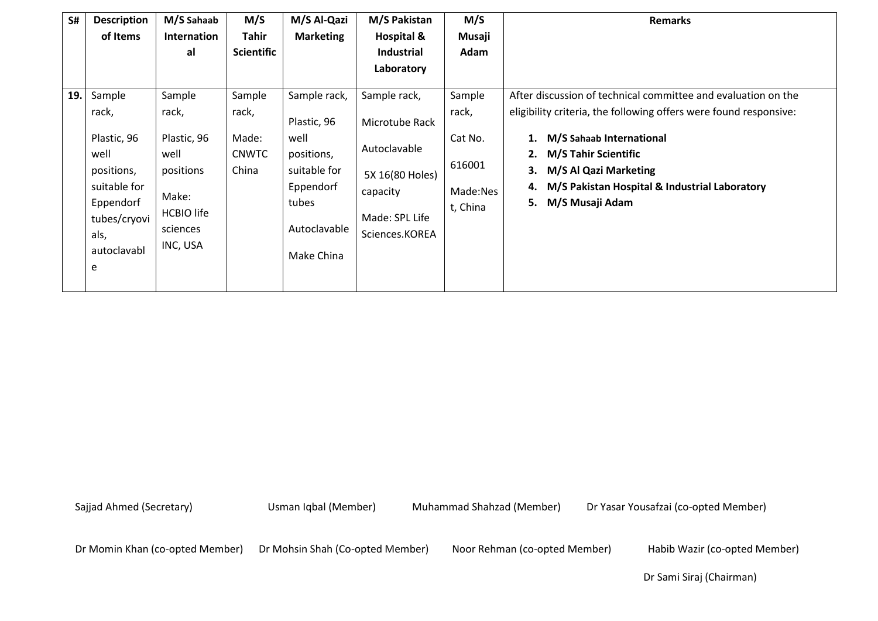|                                                                                                                               |                                                                                                           | M/S                                               | M/S Al-Qazi                                                                                                           | M/S Pakistan                                                                                                      | M/S                                                          | <b>Remarks</b>                                                                                                                                                                                                                                                                                                     |
|-------------------------------------------------------------------------------------------------------------------------------|-----------------------------------------------------------------------------------------------------------|---------------------------------------------------|-----------------------------------------------------------------------------------------------------------------------|-------------------------------------------------------------------------------------------------------------------|--------------------------------------------------------------|--------------------------------------------------------------------------------------------------------------------------------------------------------------------------------------------------------------------------------------------------------------------------------------------------------------------|
| of Items                                                                                                                      | <b>Internation</b>                                                                                        | <b>Tahir</b>                                      | <b>Marketing</b>                                                                                                      | Hospital &                                                                                                        | Musaji                                                       |                                                                                                                                                                                                                                                                                                                    |
|                                                                                                                               | al                                                                                                        | <b>Scientific</b>                                 |                                                                                                                       | <b>Industrial</b>                                                                                                 | Adam                                                         |                                                                                                                                                                                                                                                                                                                    |
|                                                                                                                               |                                                                                                           |                                                   |                                                                                                                       | Laboratory                                                                                                        |                                                              |                                                                                                                                                                                                                                                                                                                    |
| Sample<br>rack,<br>Plastic, 96<br>well<br>positions,<br>suitable for<br>Eppendorf<br>tubes/cryovi<br>als,<br>autoclavabl<br>e | Sample<br>rack,<br>Plastic, 96<br>well<br>positions<br>Make:<br><b>HCBIO</b> life<br>sciences<br>INC, USA | Sample<br>rack,<br>Made:<br><b>CNWTC</b><br>China | Sample rack,<br>Plastic, 96<br>well<br>positions,<br>suitable for<br>Eppendorf<br>tubes<br>Autoclavable<br>Make China | Sample rack,<br>Microtube Rack<br>Autoclavable<br>5X 16(80 Holes)<br>capacity<br>Made: SPL Life<br>Sciences.KOREA | Sample<br>rack,<br>Cat No.<br>616001<br>Made:Nes<br>t, China | After discussion of technical committee and evaluation on the<br>eligibility criteria, the following offers were found responsive:<br>M/S Sahaab International<br><b>M/S Tahir Scientific</b><br>2.<br>M/S Al Qazi Marketing<br>3.<br>M/S Pakistan Hospital & Industrial Laboratory<br>4.<br>5.<br>M/S Musaji Adam |
|                                                                                                                               |                                                                                                           |                                                   |                                                                                                                       |                                                                                                                   |                                                              |                                                                                                                                                                                                                                                                                                                    |

Dr Momin Khan (co-opted Member) Dr Mohsin Shah (Co-opted Member) Noor Rehman (co-opted Member) Habib Wazir (co-opted Member)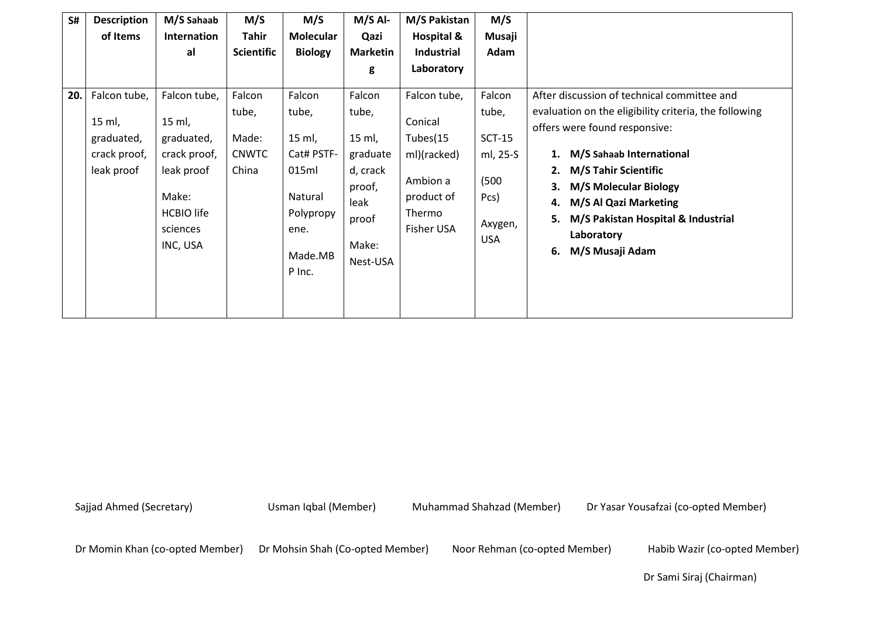| S#  | <b>Description</b><br>of Items                                     | M/S Sahaab<br>Internation<br>al                                                                                          | M/S<br><b>Tahir</b><br><b>Scientific</b>          | M/S<br><b>Molecular</b><br><b>Biology</b>                                                             | $M/S$ Al-<br>Qazi<br><b>Marketin</b>                                                              | M/S Pakistan<br><b>Hospital &amp;</b><br><b>Industrial</b>                                           | M/S<br>Musaji<br>Adam                                                             |                                                                                                                                                                                                                                                                                                                                                                      |
|-----|--------------------------------------------------------------------|--------------------------------------------------------------------------------------------------------------------------|---------------------------------------------------|-------------------------------------------------------------------------------------------------------|---------------------------------------------------------------------------------------------------|------------------------------------------------------------------------------------------------------|-----------------------------------------------------------------------------------|----------------------------------------------------------------------------------------------------------------------------------------------------------------------------------------------------------------------------------------------------------------------------------------------------------------------------------------------------------------------|
|     |                                                                    |                                                                                                                          |                                                   |                                                                                                       | g                                                                                                 | Laboratory                                                                                           |                                                                                   |                                                                                                                                                                                                                                                                                                                                                                      |
| 20. | Falcon tube,<br>15 ml,<br>graduated,<br>crack proof,<br>leak proof | Falcon tube,<br>15 ml,<br>graduated,<br>crack proof,<br>leak proof<br>Make:<br><b>HCBIO</b> life<br>sciences<br>INC, USA | Falcon<br>tube,<br>Made:<br><b>CNWTC</b><br>China | Falcon<br>tube,<br>15 ml,<br>Cat# PSTF-<br>015ml<br>Natural<br>Polypropy<br>ene.<br>Made.MB<br>P Inc. | Falcon<br>tube,<br>15 ml,<br>graduate<br>d, crack<br>proof,<br>leak<br>proof<br>Make:<br>Nest-USA | Falcon tube,<br>Conical<br>Tubes(15<br>ml)(racked)<br>Ambion a<br>product of<br>Thermo<br>Fisher USA | Falcon<br>tube,<br>$SCT-15$<br>ml, 25-S<br>(500)<br>Pcs)<br>Axygen,<br><b>USA</b> | After discussion of technical committee and<br>evaluation on the eligibility criteria, the following<br>offers were found responsive:<br>M/S Sahaab International<br>1.<br><b>M/S Tahir Scientific</b><br>2.<br><b>M/S Molecular Biology</b><br>3.<br>M/S Al Qazi Marketing<br>4.<br>M/S Pakistan Hospital & Industrial<br>5.<br>Laboratory<br>M/S Musaji Adam<br>6. |

Dr Momin Khan (co-opted Member) Dr Mohsin Shah (Co-opted Member) Noor Rehman (co-opted Member) Habib Wazir (co-opted Member)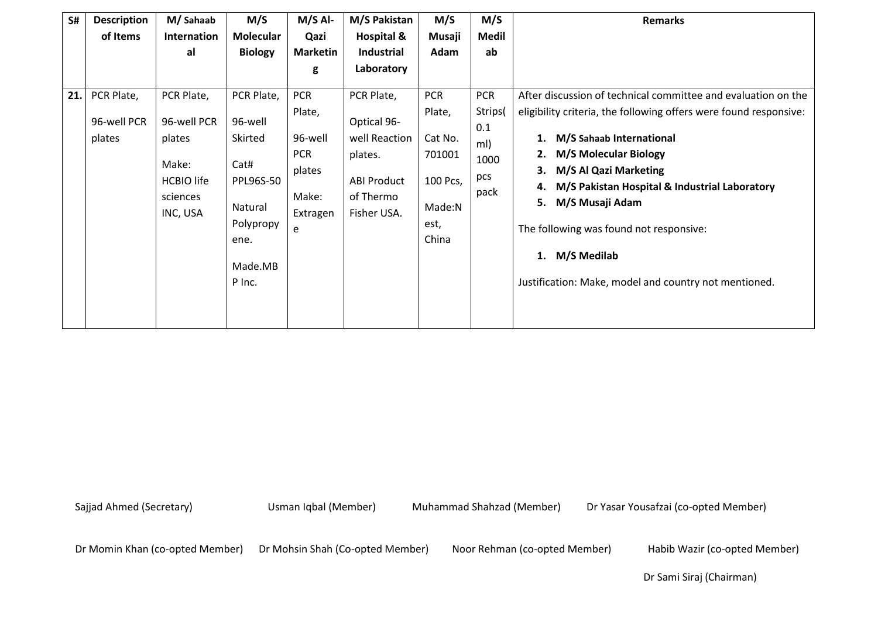| S#  | <b>Description</b> | M/Sahaab                                                     | M/S                                                                            | M/S Al-                                                   | M/S Pakistan                                                               | M/S                                                      | M/S                               | <b>Remarks</b>                                                                                                                                                                                                                         |
|-----|--------------------|--------------------------------------------------------------|--------------------------------------------------------------------------------|-----------------------------------------------------------|----------------------------------------------------------------------------|----------------------------------------------------------|-----------------------------------|----------------------------------------------------------------------------------------------------------------------------------------------------------------------------------------------------------------------------------------|
|     | of Items           | Internation                                                  | <b>Molecular</b>                                                               | Qazi                                                      | <b>Hospital &amp;</b>                                                      | Musaji                                                   | <b>Medil</b>                      |                                                                                                                                                                                                                                        |
|     |                    | al                                                           | <b>Biology</b>                                                                 | <b>Marketin</b>                                           | <b>Industrial</b>                                                          | Adam                                                     | ab                                |                                                                                                                                                                                                                                        |
|     |                    |                                                              |                                                                                | g                                                         | Laboratory                                                                 |                                                          |                                   |                                                                                                                                                                                                                                        |
| 21. | PCR Plate,         | PCR Plate,                                                   | PCR Plate,                                                                     | <b>PCR</b>                                                | PCR Plate,                                                                 | <b>PCR</b>                                               | <b>PCR</b>                        | After discussion of technical committee and evaluation on the                                                                                                                                                                          |
|     | 96-well PCR        | 96-well PCR                                                  | 96-well                                                                        | Plate,                                                    | Optical 96-                                                                | Plate,                                                   | Strips(                           | eligibility criteria, the following offers were found responsive:                                                                                                                                                                      |
|     | plates             | plates<br>Make:<br><b>HCBIO</b> life<br>sciences<br>INC, USA | Skirted<br>Cat#<br><b>PPL96S-50</b><br>Natural<br>Polypropy<br>ene.<br>Made.MB | 96-well<br><b>PCR</b><br>plates<br>Make:<br>Extragen<br>e | well Reaction<br>plates.<br><b>ABI Product</b><br>of Thermo<br>Fisher USA. | Cat No.<br>701001<br>100 Pcs,<br>Made:N<br>est,<br>China | 0.1<br>ml)<br>1000<br>pcs<br>pack | M/S Sahaab International<br>1.<br>2. M/S Molecular Biology<br>M/S Al Qazi Marketing<br>3.<br>M/S Pakistan Hospital & Industrial Laboratory<br>4.<br>5.<br>M/S Musaji Adam<br>The following was found not responsive:<br>1. M/S Medilab |
|     |                    |                                                              | P Inc.                                                                         |                                                           |                                                                            |                                                          |                                   | Justification: Make, model and country not mentioned.                                                                                                                                                                                  |

Dr Momin Khan (co-opted Member) Dr Mohsin Shah (Co-opted Member) Noor Rehman (co-opted Member) Habib Wazir (co-opted Member)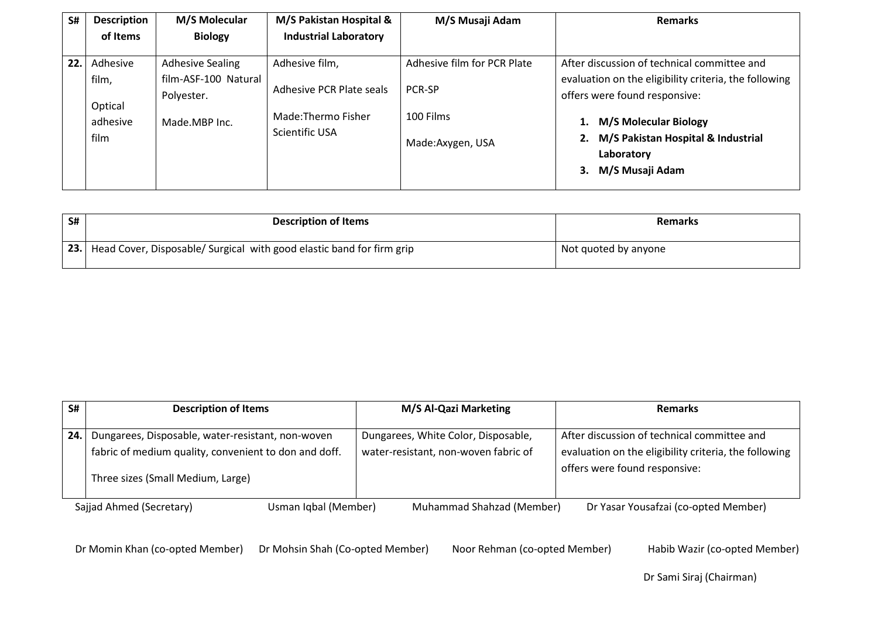| S#  | <b>Description</b>                               | <b>M/S Molecular</b>                                                           | M/S Pakistan Hospital &                                                            | M/S Musaji Adam                                                        | <b>Remarks</b>                                                                                                                                                                                                                                                 |
|-----|--------------------------------------------------|--------------------------------------------------------------------------------|------------------------------------------------------------------------------------|------------------------------------------------------------------------|----------------------------------------------------------------------------------------------------------------------------------------------------------------------------------------------------------------------------------------------------------------|
|     | of Items                                         | <b>Biology</b>                                                                 | <b>Industrial Laboratory</b>                                                       |                                                                        |                                                                                                                                                                                                                                                                |
| 22. | Adhesive<br>film,<br>Optical<br>adhesive<br>film | <b>Adhesive Sealing</b><br>film-ASF-100 Natural<br>Polyester.<br>Made.MBP Inc. | Adhesive film,<br>Adhesive PCR Plate seals<br>Made:Thermo Fisher<br>Scientific USA | Adhesive film for PCR Plate<br>PCR-SP<br>100 Films<br>Made:Axygen, USA | After discussion of technical committee and<br>evaluation on the eligibility criteria, the following<br>offers were found responsive:<br><b>M/S Molecular Biology</b><br>1.<br>M/S Pakistan Hospital & Industrial<br>2.<br>Laboratory<br>M/S Musaji Adam<br>3. |

| S# | <b>Description of Items</b>                                               | <b>Remarks</b>       |
|----|---------------------------------------------------------------------------|----------------------|
|    | 23. Head Cover, Disposable/ Surgical with good elastic band for firm grip | Not quoted by anyone |

| S#  | <b>Description of Items</b>                                                                                                                     | M/S Al-Qazi Marketing                                                       | <b>Remarks</b>                                                                                                                        |
|-----|-------------------------------------------------------------------------------------------------------------------------------------------------|-----------------------------------------------------------------------------|---------------------------------------------------------------------------------------------------------------------------------------|
| 24. | Dungarees, Disposable, water-resistant, non-woven<br>fabric of medium quality, convenient to don and doff.<br>Three sizes (Small Medium, Large) | Dungarees, White Color, Disposable,<br>water-resistant, non-woven fabric of | After discussion of technical committee and<br>evaluation on the eligibility criteria, the following<br>offers were found responsive: |
|     | Sajjad Ahmed (Secretary)<br>Usman Iqbal (Member)                                                                                                | Muhammad Shahzad (Member)                                                   | Dr Yasar Yousafzai (co-opted Member)                                                                                                  |

Dr Momin Khan (co-opted Member) Dr Mohsin Shah (Co-opted Member) Noor Rehman (co-opted Member) Habib Wazir (co-opted Member)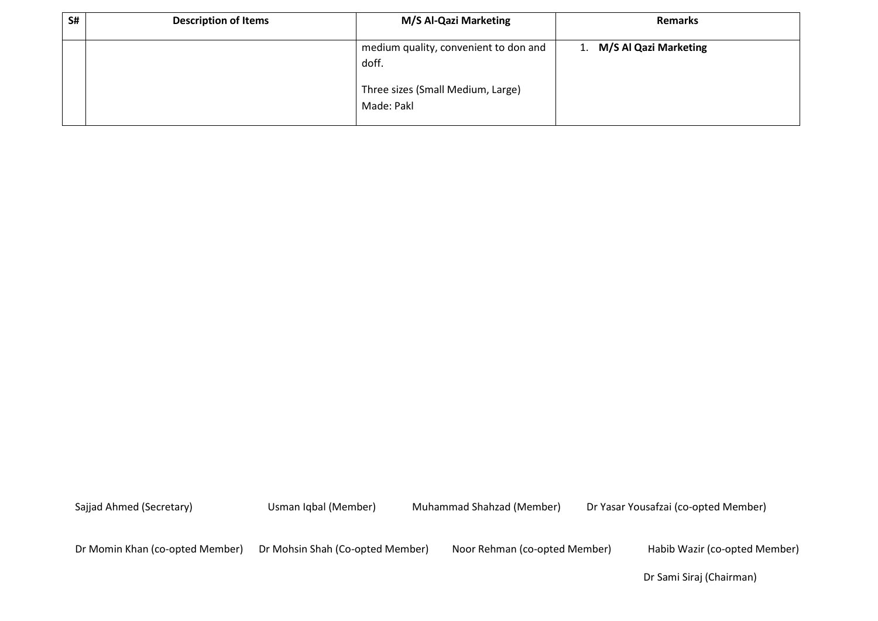| S# | <b>Description of Items</b> | M/S Al-Qazi Marketing                                                                             | <b>Remarks</b>           |
|----|-----------------------------|---------------------------------------------------------------------------------------------------|--------------------------|
|    |                             | medium quality, convenient to don and<br>doff.<br>Three sizes (Small Medium, Large)<br>Made: Pakl | 1. M/S Al Qazi Marketing |

Dr Momin Khan (co-opted Member) Dr Mohsin Shah (Co-opted Member) Noor Rehman (co-opted Member) Habib Wazir (co-opted Member)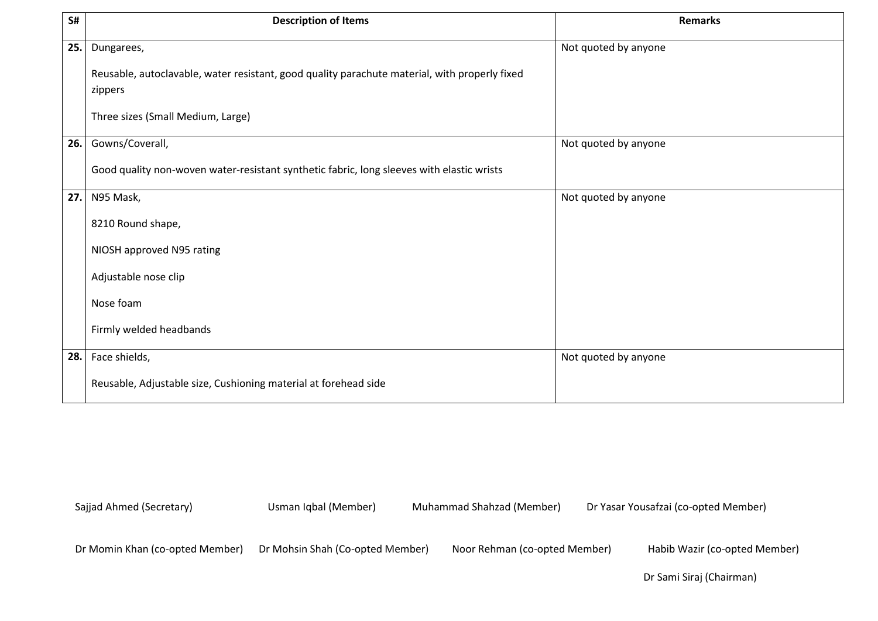| S#  | <b>Description of Items</b>                                                                              | <b>Remarks</b>       |
|-----|----------------------------------------------------------------------------------------------------------|----------------------|
| 25. | Dungarees,                                                                                               | Not quoted by anyone |
|     | Reusable, autoclavable, water resistant, good quality parachute material, with properly fixed<br>zippers |                      |
|     | Three sizes (Small Medium, Large)                                                                        |                      |
| 26. | Gowns/Coverall,                                                                                          | Not quoted by anyone |
|     | Good quality non-woven water-resistant synthetic fabric, long sleeves with elastic wrists                |                      |
| 27. | N95 Mask,                                                                                                | Not quoted by anyone |
|     | 8210 Round shape,                                                                                        |                      |
|     | NIOSH approved N95 rating                                                                                |                      |
|     | Adjustable nose clip                                                                                     |                      |
|     | Nose foam                                                                                                |                      |
|     | Firmly welded headbands                                                                                  |                      |
| 28. | Face shields,                                                                                            | Not quoted by anyone |
|     | Reusable, Adjustable size, Cushioning material at forehead side                                          |                      |

Dr Momin Khan (co-opted Member) Dr Mohsin Shah (Co-opted Member) Noor Rehman (co-opted Member) Habib Wazir (co-opted Member)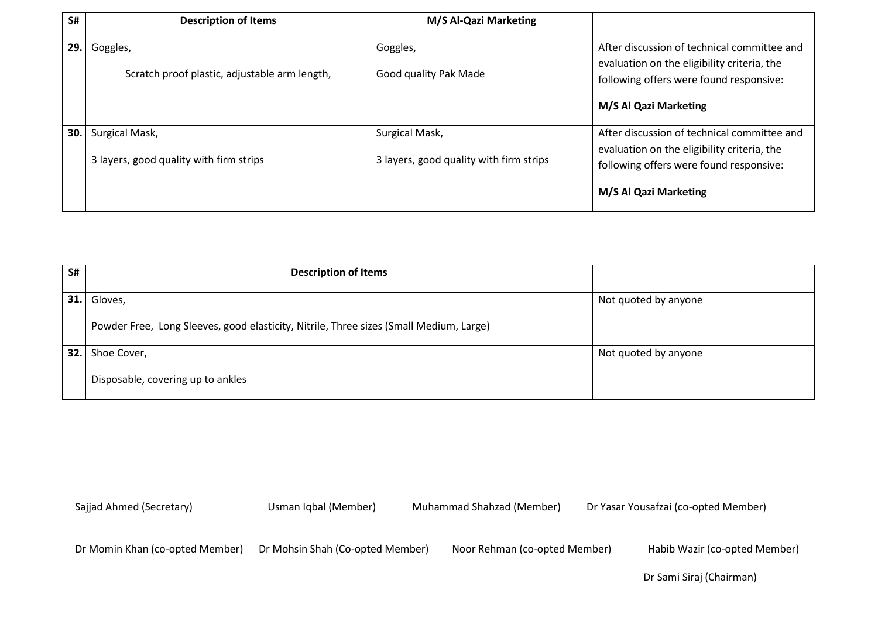| S#  | <b>Description of Items</b>                               | M/S Al-Qazi Marketing                                     |                                                                                                                                       |
|-----|-----------------------------------------------------------|-----------------------------------------------------------|---------------------------------------------------------------------------------------------------------------------------------------|
| 29. | Goggles,<br>Scratch proof plastic, adjustable arm length, | Goggles,<br>Good quality Pak Made                         | After discussion of technical committee and<br>evaluation on the eligibility criteria, the<br>following offers were found responsive: |
|     |                                                           |                                                           | M/S Al Qazi Marketing                                                                                                                 |
| 30. | Surgical Mask,<br>3 layers, good quality with firm strips | Surgical Mask,<br>3 layers, good quality with firm strips | After discussion of technical committee and<br>evaluation on the eligibility criteria, the<br>following offers were found responsive: |
|     |                                                           |                                                           | M/S Al Qazi Marketing                                                                                                                 |

| S#   | <b>Description of Items</b>                                                            |                      |
|------|----------------------------------------------------------------------------------------|----------------------|
| 31.  | Gloves,                                                                                | Not quoted by anyone |
|      | Powder Free, Long Sleeves, good elasticity, Nitrile, Three sizes (Small Medium, Large) |                      |
| 32.1 | Shoe Cover,                                                                            | Not quoted by anyone |
|      | Disposable, covering up to ankles                                                      |                      |

Dr Momin Khan (co-opted Member) Dr Mohsin Shah (Co-opted Member) Noor Rehman (co-opted Member) Habib Wazir (co-opted Member)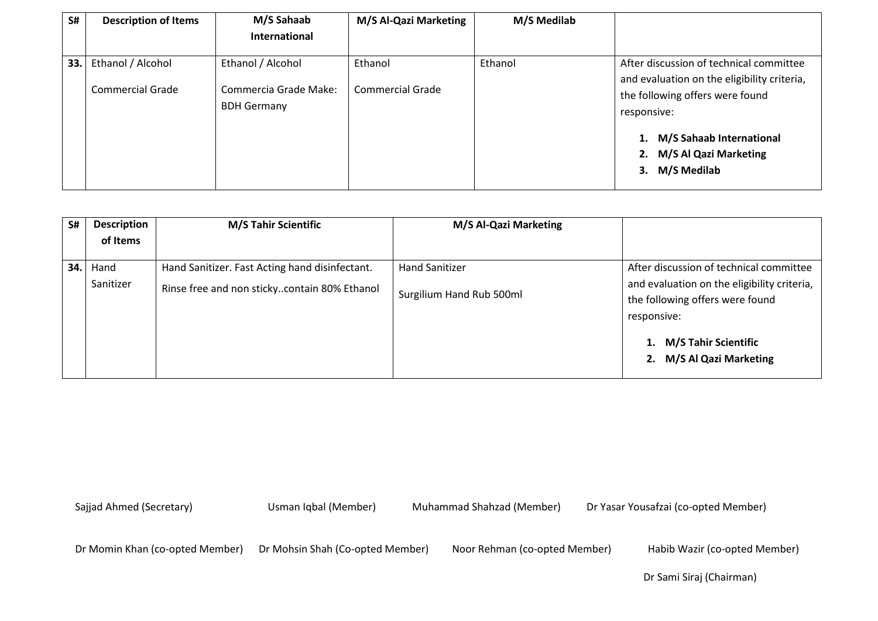| S#  | <b>Description of Items</b> | M/S Sahaab                                  | M/S Al-Qazi Marketing | M/S Medilab |                                                                                        |
|-----|-----------------------------|---------------------------------------------|-----------------------|-------------|----------------------------------------------------------------------------------------|
|     |                             | <b>International</b>                        |                       |             |                                                                                        |
| 33. | Ethanol / Alcohol           | Ethanol / Alcohol                           | Ethanol               | Ethanol     | After discussion of technical committee<br>and evaluation on the eligibility criteria, |
|     | Commercial Grade            | Commercia Grade Make:<br><b>BDH Germany</b> | Commercial Grade      |             | the following offers were found<br>responsive:                                         |
|     |                             |                                             |                       |             | 1. M/S Sahaab International<br>2. M/S Al Qazi Marketing<br>M/S Medilab<br>3.           |

| S#  | <b>Description</b><br>of Items | <b>M/S Tahir Scientific</b>                                                                    | M/S Al-Qazi Marketing                             |                                                                                                                                          |
|-----|--------------------------------|------------------------------------------------------------------------------------------------|---------------------------------------------------|------------------------------------------------------------------------------------------------------------------------------------------|
| 34. | Hand<br>Sanitizer              | Hand Sanitizer. Fast Acting hand disinfectant.<br>Rinse free and non stickycontain 80% Ethanol | <b>Hand Sanitizer</b><br>Surgilium Hand Rub 500ml | After discussion of technical committee<br>and evaluation on the eligibility criteria,<br>the following offers were found<br>responsive: |
|     |                                |                                                                                                |                                                   | <b>M/S Tahir Scientific</b><br>M/S Al Qazi Marketing<br>2.                                                                               |

Dr Momin Khan (co-opted Member) Dr Mohsin Shah (Co-opted Member) Noor Rehman (co-opted Member) Habib Wazir (co-opted Member)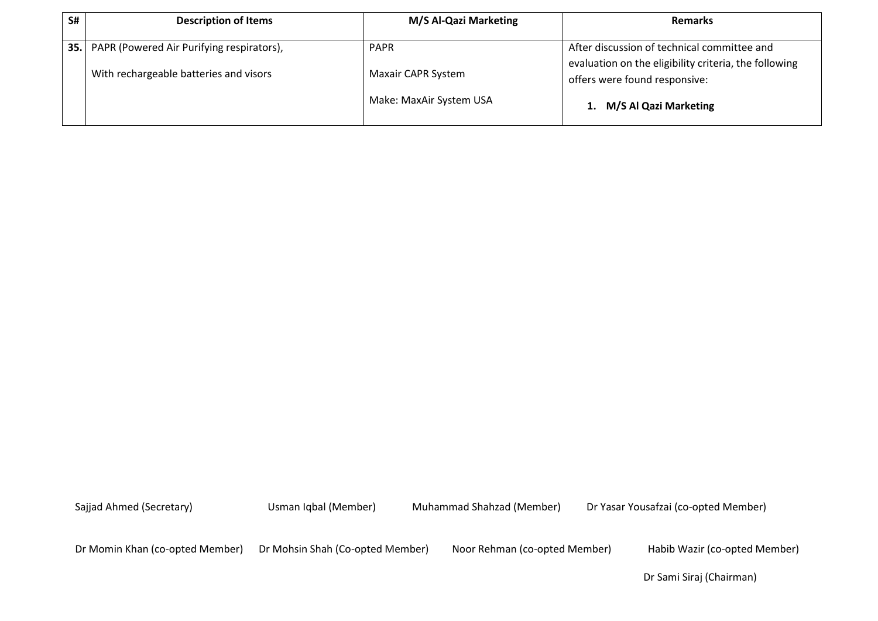| S# | <b>Description of Items</b>                          | M/S Al-Qazi Marketing     | <b>Remarks</b>                                                                         |
|----|------------------------------------------------------|---------------------------|----------------------------------------------------------------------------------------|
|    | <b>35.</b> PAPR (Powered Air Purifying respirators), | <b>PAPR</b>               | After discussion of technical committee and                                            |
|    | With rechargeable batteries and visors               | <b>Maxair CAPR System</b> | evaluation on the eligibility criteria, the following<br>offers were found responsive: |
|    |                                                      | Make: MaxAir System USA   | M/S Al Qazi Marketing                                                                  |

Dr Momin Khan (co-opted Member) Dr Mohsin Shah (Co-opted Member) Noor Rehman (co-opted Member) Habib Wazir (co-opted Member)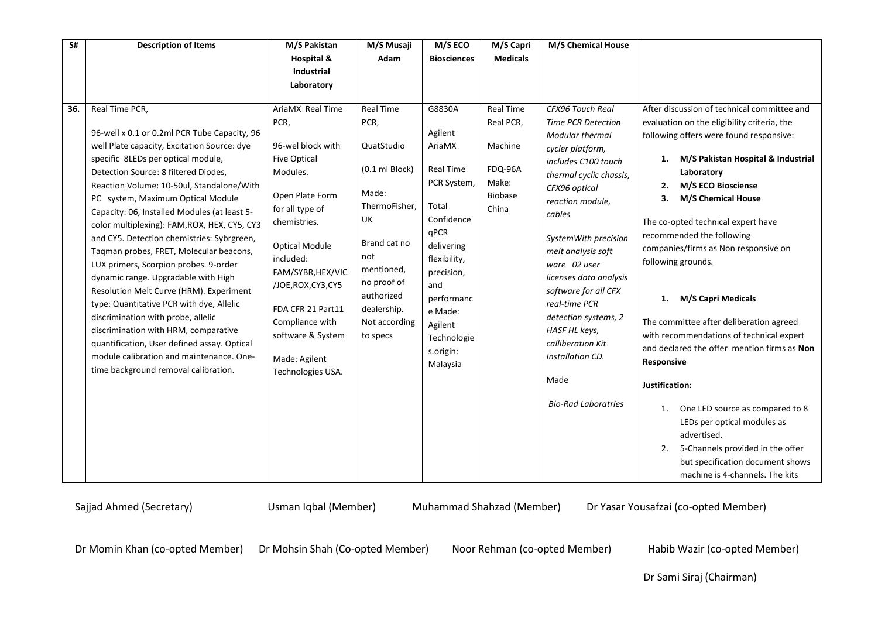| S#  | <b>Description of Items</b>                                                                                                                                                                                                                                                                                                                                                                                                                                                                                                                                                                                                                                                                                                                                                                                                                                    | M/S Pakistan                                                                                                                                                                                                                                                                                                                | M/S Musaji                                                                                                                                                                                                       | M/S ECO                                                                                                                                                                                                               | M/S Capri                                                                               | M/S Chemical House                                                                                                                                                                                                                                                                                                                                                                                                                                    |                                                                                                                                                                                                                                                                                                                                                                                                                                                                                                                                                                                                                                                                                                                                                                                                           |
|-----|----------------------------------------------------------------------------------------------------------------------------------------------------------------------------------------------------------------------------------------------------------------------------------------------------------------------------------------------------------------------------------------------------------------------------------------------------------------------------------------------------------------------------------------------------------------------------------------------------------------------------------------------------------------------------------------------------------------------------------------------------------------------------------------------------------------------------------------------------------------|-----------------------------------------------------------------------------------------------------------------------------------------------------------------------------------------------------------------------------------------------------------------------------------------------------------------------------|------------------------------------------------------------------------------------------------------------------------------------------------------------------------------------------------------------------|-----------------------------------------------------------------------------------------------------------------------------------------------------------------------------------------------------------------------|-----------------------------------------------------------------------------------------|-------------------------------------------------------------------------------------------------------------------------------------------------------------------------------------------------------------------------------------------------------------------------------------------------------------------------------------------------------------------------------------------------------------------------------------------------------|-----------------------------------------------------------------------------------------------------------------------------------------------------------------------------------------------------------------------------------------------------------------------------------------------------------------------------------------------------------------------------------------------------------------------------------------------------------------------------------------------------------------------------------------------------------------------------------------------------------------------------------------------------------------------------------------------------------------------------------------------------------------------------------------------------------|
|     |                                                                                                                                                                                                                                                                                                                                                                                                                                                                                                                                                                                                                                                                                                                                                                                                                                                                | Hospital &<br><b>Industrial</b>                                                                                                                                                                                                                                                                                             | Adam                                                                                                                                                                                                             | <b>Biosciences</b>                                                                                                                                                                                                    | <b>Medicals</b>                                                                         |                                                                                                                                                                                                                                                                                                                                                                                                                                                       |                                                                                                                                                                                                                                                                                                                                                                                                                                                                                                                                                                                                                                                                                                                                                                                                           |
|     |                                                                                                                                                                                                                                                                                                                                                                                                                                                                                                                                                                                                                                                                                                                                                                                                                                                                | Laboratory                                                                                                                                                                                                                                                                                                                  |                                                                                                                                                                                                                  |                                                                                                                                                                                                                       |                                                                                         |                                                                                                                                                                                                                                                                                                                                                                                                                                                       |                                                                                                                                                                                                                                                                                                                                                                                                                                                                                                                                                                                                                                                                                                                                                                                                           |
| 36. | Real Time PCR,<br>96-well x 0.1 or 0.2ml PCR Tube Capacity, 96<br>well Plate capacity, Excitation Source: dye<br>specific 8LEDs per optical module,<br>Detection Source: 8 filtered Diodes,<br>Reaction Volume: 10-50ul, Standalone/With<br>PC system, Maximum Optical Module<br>Capacity: 06, Installed Modules (at least 5-<br>color multiplexing): FAM, ROX, HEX, CY5, CY3<br>and CY5. Detection chemistries: Sybrgreen,<br>Taqman probes, FRET, Molecular beacons,<br>LUX primers, Scorpion probes. 9-order<br>dynamic range. Upgradable with High<br>Resolution Melt Curve (HRM). Experiment<br>type: Quantitative PCR with dye, Allelic<br>discrimination with probe, allelic<br>discrimination with HRM, comparative<br>quantification, User defined assay. Optical<br>module calibration and maintenance. One-<br>time background removal calibration. | AriaMX Real Time<br>PCR,<br>96-wel block with<br><b>Five Optical</b><br>Modules.<br>Open Plate Form<br>for all type of<br>chemistries.<br><b>Optical Module</b><br>included:<br>FAM/SYBR, HEX/VIC<br>/JOE, ROX, CY3, CY5<br>FDA CFR 21 Part11<br>Compliance with<br>software & System<br>Made: Agilent<br>Technologies USA. | <b>Real Time</b><br>PCR,<br>QuatStudio<br>$(0.1 \text{ ml Block})$<br>Made:<br>ThermoFisher,<br>UK<br>Brand cat no<br>not<br>mentioned,<br>no proof of<br>authorized<br>dealership.<br>Not according<br>to specs | G8830A<br>Agilent<br>AriaMX<br>Real Time<br>PCR System,<br>Total<br>Confidence<br>qPCR<br>delivering<br>flexibility,<br>precision,<br>and<br>performanc<br>e Made:<br>Agilent<br>Technologie<br>s.origin:<br>Malaysia | <b>Real Time</b><br>Real PCR,<br>Machine<br>FDQ-96A<br>Make:<br><b>Biobase</b><br>China | <b>CFX96 Touch Real</b><br><b>Time PCR Detection</b><br>Modular thermal<br>cycler platform,<br>includes C100 touch<br>thermal cyclic chassis,<br>CFX96 optical<br>reaction module,<br>cables<br>SystemWith precision<br>melt analysis soft<br>ware 02 user<br>licenses data analysis<br>software for all CFX<br>real-time PCR<br>detection systems, 2<br>HASF HL keys,<br>calliberation Kit<br>Installation CD.<br>Made<br><b>Bio-Rad Laboratries</b> | After discussion of technical committee and<br>evaluation on the eligibility criteria, the<br>following offers were found responsive:<br>M/S Pakistan Hospital & Industrial<br>1.<br>Laboratory<br>M/S ECO Biosciense<br>2.<br><b>M/S Chemical House</b><br>3.<br>The co-opted technical expert have<br>recommended the following<br>companies/firms as Non responsive on<br>following grounds.<br>M/S Capri Medicals<br>1.<br>The committee after deliberation agreed<br>with recommendations of technical expert<br>and declared the offer mention firms as Non<br>Responsive<br>Justification:<br>One LED source as compared to 8<br>1.<br>LEDs per optical modules as<br>advertised.<br>5-Channels provided in the offer<br>2.<br>but specification document shows<br>machine is 4-channels. The kits |

Dr Momin Khan (co-opted Member) Dr Mohsin Shah (Co-opted Member) Noor Rehman (co-opted Member) Habib Wazir (co-opted Member)